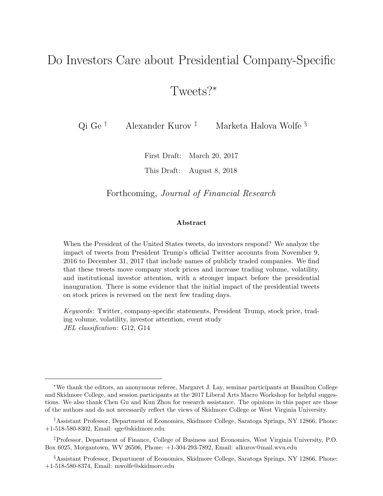# Do Investors Care about Presidential Company-Specific

Tweets?<sup>∗</sup>

Qi Ge † Alexander Kurov ‡ Marketa Halova Wolfe §

First Draft: March 20, 2017 This Draft: August 8, 2018

Forthcoming, Journal of Financial Research

#### Abstract

When the President of the United States tweets, do investors respond? We analyze the impact of tweets from President Trump's official Twitter accounts from November 9, 2016 to December 31, 2017 that include names of publicly traded companies. We find that these tweets move company stock prices and increase trading volume, volatility, and institutional investor attention, with a stronger impact before the presidential inauguration. There is some evidence that the initial impact of the presidential tweets on stock prices is reversed on the next few trading days.

Keywords: Twitter, company-specific statements, President Trump, stock price, trading volume, volatility, investor attention, event study JEL classification: G12, G14

<sup>∗</sup>We thank the editors, an anonymous referee, Margaret J. Lay, seminar participants at Hamilton College and Skidmore College, and session participants at the 2017 Liberal Arts Macro Workshop for helpful suggestions. We also thank Chen Gu and Kun Zhou for research assistance. The opinions in this paper are those of the authors and do not necessarily reflect the views of Skidmore College or West Virginia University.

<sup>†</sup>Assistant Professor, Department of Economics, Skidmore College, Saratoga Springs, NY 12866, Phone: +1-518-580-8302, Email: qge@skidmore.edu

<sup>‡</sup>Professor, Department of Finance, College of Business and Economics, West Virginia University, P.O. Box 6025, Morgantown, WV 26506, Phone: +1-304-293-7892, Email: alkurov@mail.wvu.edu

<sup>§</sup>Assistant Professor, Department of Economics, Skidmore College, Saratoga Springs, NY 12866, Phone: +1-518-580-8374, Email: mwolfe@skidmore.edu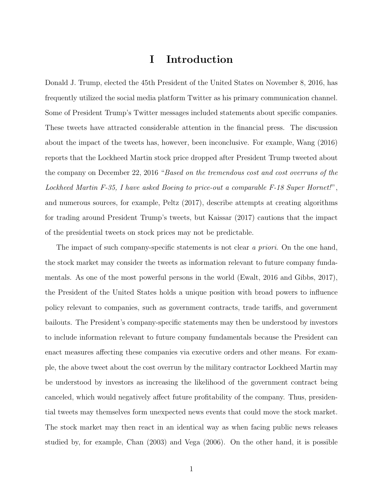## I Introduction

Donald J. Trump, elected the 45th President of the United States on November 8, 2016, has frequently utilized the social media platform Twitter as his primary communication channel. Some of President Trump's Twitter messages included statements about specific companies. These tweets have attracted considerable attention in the financial press. The discussion about the impact of the tweets has, however, been inconclusive. For example, Wang (2016) reports that the Lockheed Martin stock price dropped after President Trump tweeted about the company on December 22, 2016 "Based on the tremendous cost and cost overruns of the Lockheed Martin F-35, I have asked Boeing to price-out a comparable F-18 Super Hornet!", and numerous sources, for example, Peltz (2017), describe attempts at creating algorithms for trading around President Trump's tweets, but Kaissar (2017) cautions that the impact of the presidential tweets on stock prices may not be predictable.

The impact of such company-specific statements is not clear a priori. On the one hand, the stock market may consider the tweets as information relevant to future company fundamentals. As one of the most powerful persons in the world (Ewalt, 2016 and Gibbs, 2017), the President of the United States holds a unique position with broad powers to influence policy relevant to companies, such as government contracts, trade tariffs, and government bailouts. The President's company-specific statements may then be understood by investors to include information relevant to future company fundamentals because the President can enact measures affecting these companies via executive orders and other means. For example, the above tweet about the cost overrun by the military contractor Lockheed Martin may be understood by investors as increasing the likelihood of the government contract being canceled, which would negatively affect future profitability of the company. Thus, presidential tweets may themselves form unexpected news events that could move the stock market. The stock market may then react in an identical way as when facing public news releases studied by, for example, Chan (2003) and Vega (2006). On the other hand, it is possible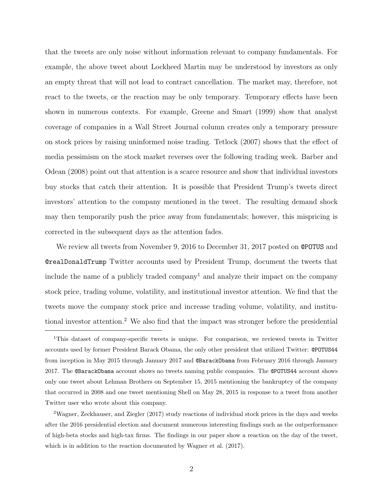that the tweets are only noise without information relevant to company fundamentals. For example, the above tweet about Lockheed Martin may be understood by investors as only an empty threat that will not lead to contract cancellation. The market may, therefore, not react to the tweets, or the reaction may be only temporary. Temporary effects have been shown in numerous contexts. For example, Greene and Smart (1999) show that analyst coverage of companies in a Wall Street Journal column creates only a temporary pressure on stock prices by raising uninformed noise trading. Tetlock (2007) shows that the effect of media pessimism on the stock market reverses over the following trading week. Barber and Odean (2008) point out that attention is a scarce resource and show that individual investors buy stocks that catch their attention. It is possible that President Trump's tweets direct investors' attention to the company mentioned in the tweet. The resulting demand shock may then temporarily push the price away from fundamentals; however, this mispricing is corrected in the subsequent days as the attention fades.

We review all tweets from November 9, 2016 to December 31, 2017 posted on @POTUS and @realDonaldTrump Twitter accounts used by President Trump, document the tweets that include the name of a publicly traded company<sup>1</sup> and analyze their impact on the company stock price, trading volume, volatility, and institutional investor attention. We find that the tweets move the company stock price and increase trading volume, volatility, and institutional investor attention.<sup>2</sup> We also find that the impact was stronger before the presidential

<sup>1</sup>This dataset of company-specific tweets is unique. For comparison, we reviewed tweets in Twitter accounts used by former President Barack Obama, the only other president that utilized Twitter: @POTUS44 from inception in May 2015 through January 2017 and @BarackObama from February 2016 through January 2017. The @BarackObama account shows no tweets naming public companies. The @POTUS44 account shows only one tweet about Lehman Brothers on September 15, 2015 mentioning the bankruptcy of the company that occurred in 2008 and one tweet mentioning Shell on May 28, 2015 in response to a tweet from another Twitter user who wrote about this company.

<sup>2</sup>Wagner, Zeckhauser, and Ziegler (2017) study reactions of individual stock prices in the days and weeks after the 2016 presidential election and document numerous interesting findings such as the outperformance of high-beta stocks and high-tax firms. The findings in our paper show a reaction on the day of the tweet, which is in addition to the reaction documented by Wagner et al. (2017).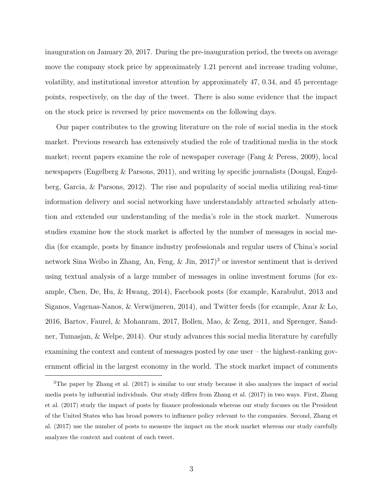inauguration on January 20, 2017. During the pre-inauguration period, the tweets on average move the company stock price by approximately 1.21 percent and increase trading volume, volatility, and institutional investor attention by approximately 47, 0.34, and 45 percentage points, respectively, on the day of the tweet. There is also some evidence that the impact on the stock price is reversed by price movements on the following days.

Our paper contributes to the growing literature on the role of social media in the stock market. Previous research has extensively studied the role of traditional media in the stock market; recent papers examine the role of newspaper coverage (Fang & Peress, 2009), local newspapers (Engelberg & Parsons, 2011), and writing by specific journalists (Dougal, Engelberg, Garcia, & Parsons, 2012). The rise and popularity of social media utilizing real-time information delivery and social networking have understandably attracted scholarly attention and extended our understanding of the media's role in the stock market. Numerous studies examine how the stock market is affected by the number of messages in social media (for example, posts by finance industry professionals and regular users of China's social network Sina Weibo in Zhang, An, Feng,  $\&$  Jin, 2017)<sup>3</sup> or investor sentiment that is derived using textual analysis of a large number of messages in online investment forums (for example, Chen, De, Hu, & Hwang, 2014), Facebook posts (for example, Karabulut, 2013 and Siganos, Vagenas-Nanos, & Verwijmeren, 2014), and Twitter feeds (for example, Azar & Lo, 2016, Bartov, Faurel, & Mohanram, 2017, Bollen, Mao, & Zeng, 2011, and Sprenger, Sandner, Tumasjan, & Welpe, 2014). Our study advances this social media literature by carefully examining the context and content of messages posted by one user – the highest-ranking government official in the largest economy in the world. The stock market impact of comments

<sup>3</sup>The paper by Zhang et al. (2017) is similar to our study because it also analyzes the impact of social media posts by influential individuals. Our study differs from Zhang et al. (2017) in two ways. First, Zhang et al. (2017) study the impact of posts by finance professionals whereas our study focuses on the President of the United States who has broad powers to influence policy relevant to the companies. Second, Zhang et al. (2017) use the number of posts to measure the impact on the stock market whereas our study carefully analyzes the context and content of each tweet.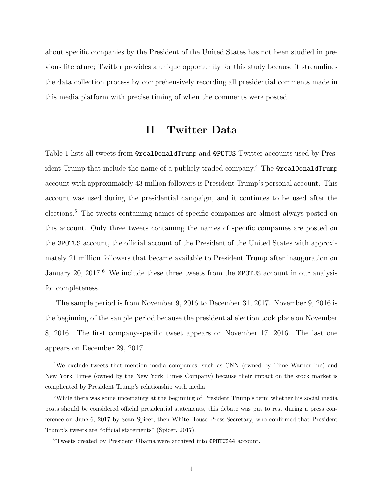about specific companies by the President of the United States has not been studied in previous literature; Twitter provides a unique opportunity for this study because it streamlines the data collection process by comprehensively recording all presidential comments made in this media platform with precise timing of when the comments were posted.

### II Twitter Data

Table 1 lists all tweets from @realDonaldTrump and @POTUS Twitter accounts used by President Trump that include the name of a publicly traded company.<sup>4</sup> The **CrealDonaldTrump** account with approximately 43 million followers is President Trump's personal account. This account was used during the presidential campaign, and it continues to be used after the elections.<sup>5</sup> The tweets containing names of specific companies are almost always posted on this account. Only three tweets containing the names of specific companies are posted on the @POTUS account, the official account of the President of the United States with approximately 21 million followers that became available to President Trump after inauguration on January 20, 2017.<sup>6</sup> We include these three tweets from the **@POTUS** account in our analysis for completeness.

The sample period is from November 9, 2016 to December 31, 2017. November 9, 2016 is the beginning of the sample period because the presidential election took place on November 8, 2016. The first company-specific tweet appears on November 17, 2016. The last one appears on December 29, 2017.

<sup>6</sup>Tweets created by President Obama were archived into @POTUS44 account.

<sup>4</sup>We exclude tweets that mention media companies, such as CNN (owned by Time Warner Inc) and New York Times (owned by the New York Times Company) because their impact on the stock market is complicated by President Trump's relationship with media.

<sup>5</sup>While there was some uncertainty at the beginning of President Trump's term whether his social media posts should be considered official presidential statements, this debate was put to rest during a press conference on June 6, 2017 by Sean Spicer, then White House Press Secretary, who confirmed that President Trump's tweets are "official statements" (Spicer, 2017).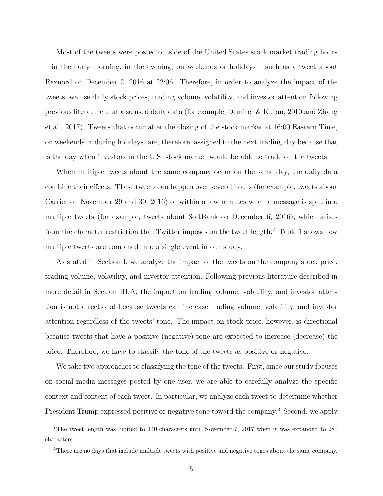Most of the tweets were posted outside of the United States stock market trading hours – in the early morning, in the evening, on weekends or holidays – such as a tweet about Rexnord on December 2, 2016 at 22:06. Therefore, in order to analyze the impact of the tweets, we use daily stock prices, trading volume, volatility, and investor attention following previous literature that also used daily data (for example, Demirer & Kutan, 2010 and Zhang et al., 2017). Tweets that occur after the closing of the stock market at 16:00 Eastern Time, on weekends or during holidays, are, therefore, assigned to the next trading day because that is the day when investors in the U.S. stock market would be able to trade on the tweets.

When multiple tweets about the same company occur on the same day, the daily data combine their effects. These tweets can happen over several hours (for example, tweets about Carrier on November 29 and 30, 2016) or within a few minutes when a message is split into multiple tweets (for example, tweets about SoftBank on December 6, 2016), which arises from the character restriction that Twitter imposes on the tweet length.<sup>7</sup> Table 1 shows how multiple tweets are combined into a single event in our study.

As stated in Section I, we analyze the impact of the tweets on the company stock price, trading volume, volatility, and investor attention. Following previous literature described in more detail in Section III.A, the impact on trading volume, volatility, and investor attention is not directional because tweets can increase trading volume, volatility, and investor attention regardless of the tweets' tone. The impact on stock price, however, is directional because tweets that have a positive (negative) tone are expected to increase (decrease) the price. Therefore, we have to classify the tone of the tweets as positive or negative.

We take two approaches to classifying the tone of the tweets. First, since our study focuses on social media messages posted by one user, we are able to carefully analyze the specific context and content of each tweet. In particular, we analyze each tweet to determine whether President Trump expressed positive or negative tone toward the company.<sup>8</sup> Second, we apply

<sup>7</sup>The tweet length was limited to 140 characters until November 7, 2017 when it was expanded to 280 characters.

<sup>&</sup>lt;sup>8</sup>There are no days that include multiple tweets with positive and negative tones about the same company.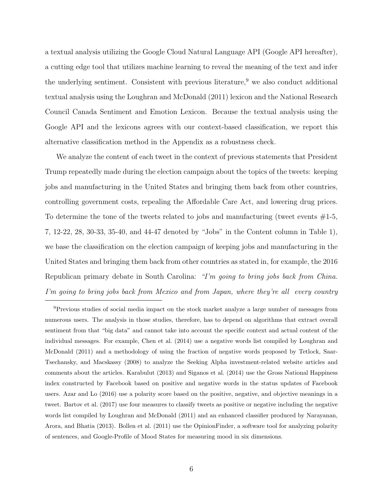a textual analysis utilizing the Google Cloud Natural Language API (Google API hereafter), a cutting edge tool that utilizes machine learning to reveal the meaning of the text and infer the underlying sentiment. Consistent with previous literature,  $9$  we also conduct additional textual analysis using the Loughran and McDonald (2011) lexicon and the National Research Council Canada Sentiment and Emotion Lexicon. Because the textual analysis using the Google API and the lexicons agrees with our context-based classification, we report this alternative classification method in the Appendix as a robustness check.

We analyze the content of each tweet in the context of previous statements that President Trump repeatedly made during the election campaign about the topics of the tweets: keeping jobs and manufacturing in the United States and bringing them back from other countries, controlling government costs, repealing the Affordable Care Act, and lowering drug prices. To determine the tone of the tweets related to jobs and manufacturing (tweet events  $#1-5$ , 7, 12-22, 28, 30-33, 35-40, and 44-47 denoted by "Jobs" in the Content column in Table 1), we base the classification on the election campaign of keeping jobs and manufacturing in the United States and bringing them back from other countries as stated in, for example, the 2016 Republican primary debate in South Carolina: "I'm going to bring jobs back from China. I'm going to bring jobs back from Mexico and from Japan, where they're all every country

<sup>9</sup>Previous studies of social media impact on the stock market analyze a large number of messages from numerous users. The analysis in those studies, therefore, has to depend on algorithms that extract overall sentiment from that "big data" and cannot take into account the specific context and actual content of the individual messages. For example, Chen et al. (2014) use a negative words list compiled by Loughran and McDonald (2011) and a methodology of using the fraction of negative words proposed by Tetlock, Saar-Tsechansky, and Macskassy (2008) to analyze the Seeking Alpha investment-related website articles and comments about the articles. Karabulut (2013) and Siganos et al. (2014) use the Gross National Happiness index constructed by Facebook based on positive and negative words in the status updates of Facebook users. Azar and Lo (2016) use a polarity score based on the positive, negative, and objective meanings in a tweet. Bartov et al. (2017) use four measures to classify tweets as positive or negative including the negative words list compiled by Loughran and McDonald (2011) and an enhanced classifier produced by Narayanan, Arora, and Bhatia (2013). Bollen et al. (2011) use the OpinionFinder, a software tool for analyzing polarity of sentences, and Google-Profile of Mood States for measuring mood in six dimensions.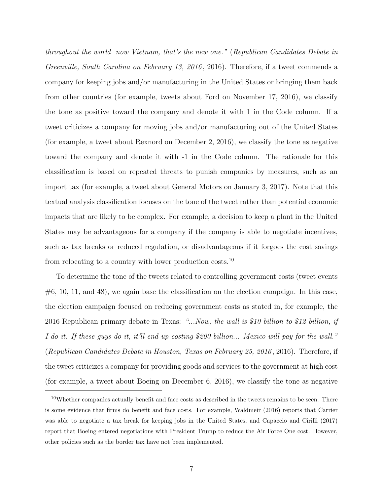throughout the world now Vietnam, that's the new one." (Republican Candidates Debate in Greenville, South Carolina on February 13, 2016, 2016). Therefore, if a tweet commends a company for keeping jobs and/or manufacturing in the United States or bringing them back from other countries (for example, tweets about Ford on November 17, 2016), we classify the tone as positive toward the company and denote it with 1 in the Code column. If a tweet criticizes a company for moving jobs and/or manufacturing out of the United States (for example, a tweet about Rexnord on December 2, 2016), we classify the tone as negative toward the company and denote it with -1 in the Code column. The rationale for this classification is based on repeated threats to punish companies by measures, such as an import tax (for example, a tweet about General Motors on January 3, 2017). Note that this textual analysis classification focuses on the tone of the tweet rather than potential economic impacts that are likely to be complex. For example, a decision to keep a plant in the United States may be advantageous for a company if the company is able to negotiate incentives, such as tax breaks or reduced regulation, or disadvantageous if it forgoes the cost savings from relocating to a country with lower production costs.<sup>10</sup>

To determine the tone of the tweets related to controlling government costs (tweet events  $\#6$ , 10, 11, and 48), we again base the classification on the election campaign. In this case, the election campaign focused on reducing government costs as stated in, for example, the 2016 Republican primary debate in Texas: "...Now, the wall is \$10 billion to \$12 billion, if I do it. If these guys do it, it'll end up costing \$200 billion... Mexico will pay for the wall." (Republican Candidates Debate in Houston, Texas on February 25, 2016 , 2016). Therefore, if the tweet criticizes a company for providing goods and services to the government at high cost (for example, a tweet about Boeing on December 6, 2016), we classify the tone as negative

 $10$ Whether companies actually benefit and face costs as described in the tweets remains to be seen. There is some evidence that firms do benefit and face costs. For example, Waldmeir (2016) reports that Carrier was able to negotiate a tax break for keeping jobs in the United States, and Capaccio and Cirilli (2017) report that Boeing entered negotiations with President Trump to reduce the Air Force One cost. However, other policies such as the border tax have not been implemented.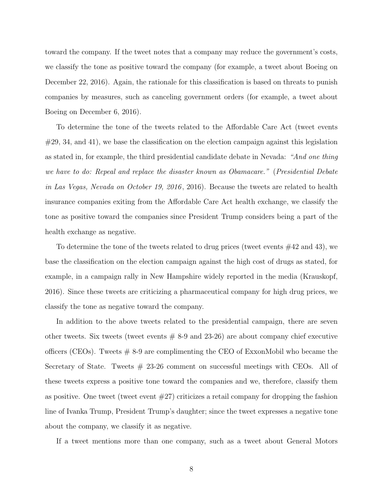toward the company. If the tweet notes that a company may reduce the government's costs, we classify the tone as positive toward the company (for example, a tweet about Boeing on December 22, 2016). Again, the rationale for this classification is based on threats to punish companies by measures, such as canceling government orders (for example, a tweet about Boeing on December 6, 2016).

To determine the tone of the tweets related to the Affordable Care Act (tweet events  $\#29, 34,$  and 41), we base the classification on the election campaign against this legislation as stated in, for example, the third presidential candidate debate in Nevada: "And one thing we have to do: Repeal and replace the disaster known as Obamacare." (Presidential Debate in Las Vegas, Nevada on October 19, 2016, 2016). Because the tweets are related to health insurance companies exiting from the Affordable Care Act health exchange, we classify the tone as positive toward the companies since President Trump considers being a part of the health exchange as negative.

To determine the tone of the tweets related to drug prices (tweet events #42 and 43), we base the classification on the election campaign against the high cost of drugs as stated, for example, in a campaign rally in New Hampshire widely reported in the media (Krauskopf, 2016). Since these tweets are criticizing a pharmaceutical company for high drug prices, we classify the tone as negative toward the company.

In addition to the above tweets related to the presidential campaign, there are seven other tweets. Six tweets (tweet events  $# 8-9$  and  $23-26$ ) are about company chief executive officers (CEOs). Tweets  $#8-9$  are complimenting the CEO of ExxonMobil who became the Secretary of State. Tweets # 23-26 comment on successful meetings with CEOs. All of these tweets express a positive tone toward the companies and we, therefore, classify them as positive. One tweet (tweet event  $\#27$ ) criticizes a retail company for dropping the fashion line of Ivanka Trump, President Trump's daughter; since the tweet expresses a negative tone about the company, we classify it as negative.

If a tweet mentions more than one company, such as a tweet about General Motors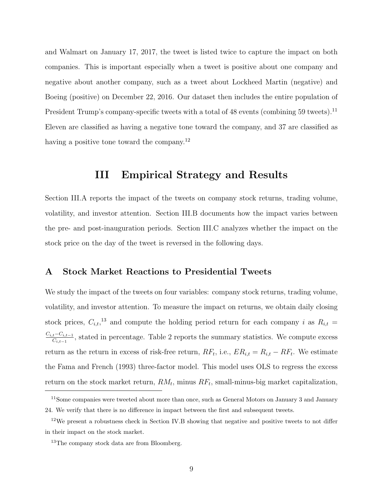and Walmart on January 17, 2017, the tweet is listed twice to capture the impact on both companies. This is important especially when a tweet is positive about one company and negative about another company, such as a tweet about Lockheed Martin (negative) and Boeing (positive) on December 22, 2016. Our dataset then includes the entire population of President Trump's company-specific tweets with a total of 48 events (combining 59 tweets).<sup>11</sup> Eleven are classified as having a negative tone toward the company, and 37 are classified as having a positive tone toward the company.<sup>12</sup>

### III Empirical Strategy and Results

Section III.A reports the impact of the tweets on company stock returns, trading volume, volatility, and investor attention. Section III.B documents how the impact varies between the pre- and post-inauguration periods. Section III.C analyzes whether the impact on the stock price on the day of the tweet is reversed in the following days.

### A Stock Market Reactions to Presidential Tweets

We study the impact of the tweets on four variables: company stock returns, trading volume, volatility, and investor attention. To measure the impact on returns, we obtain daily closing stock prices,  $C_{i,t}$ ,<sup>13</sup> and compute the holding period return for each company i as  $R_{i,t}$  =  $C_{i,t}-C_{i,t-1}$  $\frac{t - C_{i,t-1}}{C_{i,t-1}}$ , stated in percentage. Table 2 reports the summary statistics. We compute excess return as the return in excess of risk-free return,  $RF_t$ , i.e.,  $ER_{i,t} = R_{i,t} - RF_t$ . We estimate the Fama and French (1993) three-factor model. This model uses OLS to regress the excess return on the stock market return,  $RM_t$ , minus  $RF_t$ , small-minus-big market capitalization,

<sup>&</sup>lt;sup>11</sup>Some companies were tweeted about more than once, such as General Motors on January 3 and January 24. We verify that there is no difference in impact between the first and subsequent tweets.

<sup>&</sup>lt;sup>12</sup>We present a robustness check in Section IV.B showing that negative and positive tweets to not differ in their impact on the stock market.

<sup>&</sup>lt;sup>13</sup>The company stock data are from Bloomberg.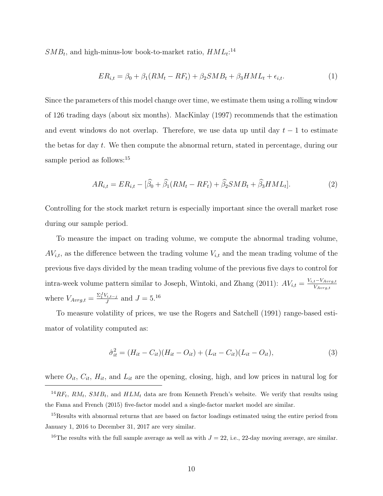$SMB_t$ , and high-minus-low book-to-market ratio,  $HML_t$ <sup>14</sup>

$$
ER_{i,t} = \beta_0 + \beta_1 (RM_t - RF_t) + \beta_2 SMB_t + \beta_3 HML_t + \epsilon_{i,t}.
$$
 (1)

Since the parameters of this model change over time, we estimate them using a rolling window of 126 trading days (about six months). MacKinlay (1997) recommends that the estimation and event windows do not overlap. Therefore, we use data up until day  $t-1$  to estimate the betas for day t. We then compute the abnormal return, stated in percentage, during our sample period as follows:<sup>15</sup>

$$
AR_{i,t} = ER_{i,t} - [\widehat{\beta}_0 + \widehat{\beta}_1(RM_t - RF_t) + \widehat{\beta}_2SMB_t + \widehat{\beta}_3HML_t].
$$
\n(2)

Controlling for the stock market return is especially important since the overall market rose during our sample period.

To measure the impact on trading volume, we compute the abnormal trading volume,  $AV_{i,t}$ , as the difference between the trading volume  $V_{i,t}$  and the mean trading volume of the previous five days divided by the mean trading volume of the previous five days to control for intra-week volume pattern similar to Joseph, Wintoki, and Zhang (2011):  $AV_{i,t} = \frac{V_{i,t}-V_{Avrg,t}}{V_{Aurr}}$  $V_{Avrg,t}$ where  $V_{Avrg,t} = \frac{\Sigma_1^J V_{i,t-j}}{I}$  $\frac{J_{i,t-j}}{J}$  and  $J = 5^{16}$ 

To measure volatility of prices, we use the Rogers and Satchell (1991) range-based estimator of volatility computed as:

$$
\hat{\sigma}_{it}^2 = (H_{it} - C_{it})(H_{it} - O_{it}) + (L_{it} - C_{it})(L_{it} - O_{it}),
$$
\n(3)

where  $O_{it}$ ,  $C_{it}$ ,  $H_{it}$ , and  $L_{it}$  are the opening, closing, high, and low prices in natural log for

<sup>16</sup>The results with the full sample average as well as with  $J = 22$ , i.e., 22-day moving average, are similar.

<sup>&</sup>lt;sup>14</sup>RF<sub>t</sub>, RM<sub>t</sub>, SMB<sub>t</sub>, and HLM<sub>t</sub> data are from Kenneth French's website. We verify that results using the Fama and French (2015) five-factor model and a single-factor market model are similar.

<sup>&</sup>lt;sup>15</sup>Results with abnormal returns that are based on factor loadings estimated using the entire period from January 1, 2016 to December 31, 2017 are very similar.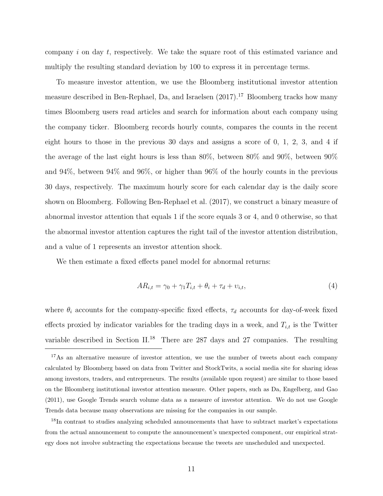company  $i$  on day  $t$ , respectively. We take the square root of this estimated variance and multiply the resulting standard deviation by 100 to express it in percentage terms.

To measure investor attention, we use the Bloomberg institutional investor attention measure described in Ben-Rephael, Da, and Israelsen (2017).<sup>17</sup> Bloomberg tracks how many times Bloomberg users read articles and search for information about each company using the company ticker. Bloomberg records hourly counts, compares the counts in the recent eight hours to those in the previous 30 days and assigns a score of 0, 1, 2, 3, and 4 if the average of the last eight hours is less than 80%, between 80% and 90%, between 90% and 94%, between 94% and 96%, or higher than 96% of the hourly counts in the previous 30 days, respectively. The maximum hourly score for each calendar day is the daily score shown on Bloomberg. Following Ben-Rephael et al. (2017), we construct a binary measure of abnormal investor attention that equals 1 if the score equals 3 or 4, and 0 otherwise, so that the abnormal investor attention captures the right tail of the investor attention distribution, and a value of 1 represents an investor attention shock.

We then estimate a fixed effects panel model for abnormal returns:

$$
AR_{i,t} = \gamma_0 + \gamma_1 T_{i,t} + \theta_i + \tau_d + \upsilon_{i,t},\tag{4}
$$

where  $\theta_i$  accounts for the company-specific fixed effects,  $\tau_d$  accounts for day-of-week fixed effects proxied by indicator variables for the trading days in a week, and  $T_{i,t}$  is the Twitter variable described in Section II.<sup>18</sup> There are 287 days and 27 companies. The resulting

<sup>18</sup>In contrast to studies analyzing scheduled announcements that have to subtract market's expectations from the actual announcement to compute the announcement's unexpected component, our empirical strategy does not involve subtracting the expectations because the tweets are unscheduled and unexpected.

<sup>&</sup>lt;sup>17</sup>As an alternative measure of investor attention, we use the number of tweets about each company calculated by Bloomberg based on data from Twitter and StockTwits, a social media site for sharing ideas among investors, traders, and entrepreneurs. The results (available upon request) are similar to those based on the Bloomberg institutional investor attention measure. Other papers, such as Da, Engelberg, and Gao (2011), use Google Trends search volume data as a measure of investor attention. We do not use Google Trends data because many observations are missing for the companies in our sample.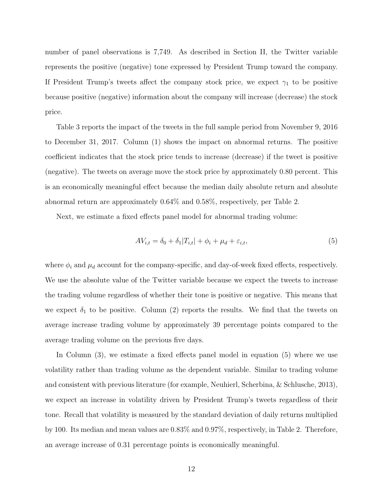number of panel observations is 7,749. As described in Section II, the Twitter variable represents the positive (negative) tone expressed by President Trump toward the company. If President Trump's tweets affect the company stock price, we expect  $\gamma_1$  to be positive because positive (negative) information about the company will increase (decrease) the stock price.

Table 3 reports the impact of the tweets in the full sample period from November 9, 2016 to December 31, 2017. Column (1) shows the impact on abnormal returns. The positive coefficient indicates that the stock price tends to increase (decrease) if the tweet is positive (negative). The tweets on average move the stock price by approximately 0.80 percent. This is an economically meaningful effect because the median daily absolute return and absolute abnormal return are approximately 0.64% and 0.58%, respectively, per Table 2.

Next, we estimate a fixed effects panel model for abnormal trading volume:

$$
AV_{i,t} = \delta_0 + \delta_1 |T_{i,t}| + \phi_i + \mu_d + \varepsilon_{i,t},\tag{5}
$$

where  $\phi_i$  and  $\mu_d$  account for the company-specific, and day-of-week fixed effects, respectively. We use the absolute value of the Twitter variable because we expect the tweets to increase the trading volume regardless of whether their tone is positive or negative. This means that we expect  $\delta_1$  to be positive. Column (2) reports the results. We find that the tweets on average increase trading volume by approximately 39 percentage points compared to the average trading volume on the previous five days.

In Column (3), we estimate a fixed effects panel model in equation (5) where we use volatility rather than trading volume as the dependent variable. Similar to trading volume and consistent with previous literature (for example, Neuhierl, Scherbina, & Schlusche, 2013), we expect an increase in volatility driven by President Trump's tweets regardless of their tone. Recall that volatility is measured by the standard deviation of daily returns multiplied by 100. Its median and mean values are 0.83% and 0.97%, respectively, in Table 2. Therefore, an average increase of 0.31 percentage points is economically meaningful.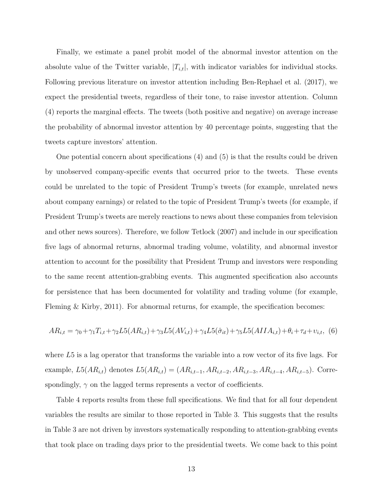Finally, we estimate a panel probit model of the abnormal investor attention on the absolute value of the Twitter variable,  $|T_{i,t}|$ , with indicator variables for individual stocks. Following previous literature on investor attention including Ben-Rephael et al. (2017), we expect the presidential tweets, regardless of their tone, to raise investor attention. Column (4) reports the marginal effects. The tweets (both positive and negative) on average increase the probability of abnormal investor attention by 40 percentage points, suggesting that the tweets capture investors' attention.

One potential concern about specifications (4) and (5) is that the results could be driven by unobserved company-specific events that occurred prior to the tweets. These events could be unrelated to the topic of President Trump's tweets (for example, unrelated news about company earnings) or related to the topic of President Trump's tweets (for example, if President Trump's tweets are merely reactions to news about these companies from television and other news sources). Therefore, we follow Tetlock (2007) and include in our specification five lags of abnormal returns, abnormal trading volume, volatility, and abnormal investor attention to account for the possibility that President Trump and investors were responding to the same recent attention-grabbing events. This augmented specification also accounts for persistence that has been documented for volatility and trading volume (for example, Fleming & Kirby, 2011). For abnormal returns, for example, the specification becomes:

$$
AR_{i,t} = \gamma_0 + \gamma_1 T_{i,t} + \gamma_2 L5(AR_{i,t}) + \gamma_3 L5(AV_{i,t}) + \gamma_4 L5(\hat{\sigma}_{it}) + \gamma_5 L5(AIIA_{i,t}) + \theta_i + \tau_d + \nu_{i,t}, \tag{6}
$$

where L5 is a lag operator that transforms the variable into a row vector of its five lags. For example,  $L5(AR_{i,t})$  denotes  $L5(AR_{i,t}) = (AR_{i,t-1}, AR_{i,t-2}, AR_{i,t-3}, AR_{i,t-4}, AR_{i,t-5})$ . Correspondingly,  $\gamma$  on the lagged terms represents a vector of coefficients.

Table 4 reports results from these full specifications. We find that for all four dependent variables the results are similar to those reported in Table 3. This suggests that the results in Table 3 are not driven by investors systematically responding to attention-grabbing events that took place on trading days prior to the presidential tweets. We come back to this point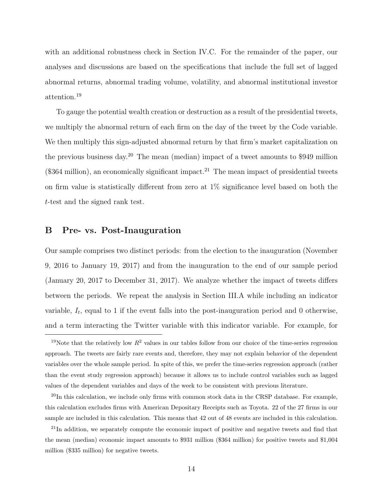with an additional robustness check in Section IV.C. For the remainder of the paper, our analyses and discussions are based on the specifications that include the full set of lagged abnormal returns, abnormal trading volume, volatility, and abnormal institutional investor attention.<sup>19</sup>

To gauge the potential wealth creation or destruction as a result of the presidential tweets, we multiply the abnormal return of each firm on the day of the tweet by the Code variable. We then multiply this sign-adjusted abnormal return by that firm's market capitalization on the previous business day.<sup>20</sup> The mean (median) impact of a tweet amounts to \$949 million  $($364$ million)$ , an economically significant impact.<sup>21</sup> The mean impact of presidential tweets on firm value is statistically different from zero at 1% significance level based on both the t-test and the signed rank test.

### B Pre- vs. Post-Inauguration

Our sample comprises two distinct periods: from the election to the inauguration (November 9, 2016 to January 19, 2017) and from the inauguration to the end of our sample period (January 20, 2017 to December 31, 2017). We analyze whether the impact of tweets differs between the periods. We repeat the analysis in Section III.A while including an indicator variable,  $I_t$ , equal to 1 if the event falls into the post-inauguration period and 0 otherwise, and a term interacting the Twitter variable with this indicator variable. For example, for

<sup>&</sup>lt;sup>19</sup>Note that the relatively low  $R^2$  values in our tables follow from our choice of the time-series regression approach. The tweets are fairly rare events and, therefore, they may not explain behavior of the dependent variables over the whole sample period. In spite of this, we prefer the time-series regression approach (rather than the event study regression approach) because it allows us to include control variables such as lagged values of the dependent variables and days of the week to be consistent with previous literature.

 $^{20}$ In this calculation, we include only firms with common stock data in the CRSP database. For example, this calculation excludes firms with American Depositary Receipts such as Toyota. 22 of the 27 firms in our sample are included in this calculation. This means that 42 out of 48 events are included in this calculation.

 $21$ In addition, we separately compute the economic impact of positive and negative tweets and find that the mean (median) economic impact amounts to \$931 million (\$364 million) for positive tweets and \$1,004 million (\$335 million) for negative tweets.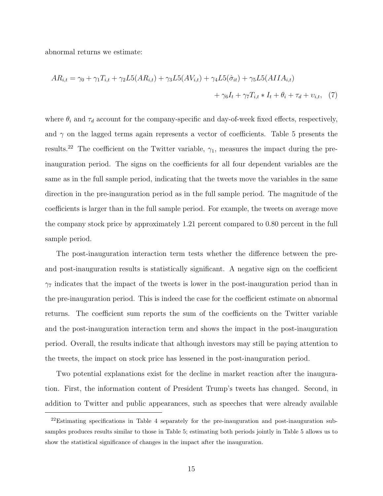abnormal returns we estimate:

$$
AR_{i,t} = \gamma_0 + \gamma_1 T_{i,t} + \gamma_2 L5(AR_{i,t}) + \gamma_3 L5(AV_{i,t}) + \gamma_4 L5(\hat{\sigma}_{it}) + \gamma_5 L5(AIIA_{i,t}) + \gamma_6 I_t + \gamma_7 T_{i,t} * I_t + \theta_i + \tau_d + \upsilon_{i,t}, \tag{7}
$$

where  $\theta_i$  and  $\tau_d$  account for the company-specific and day-of-week fixed effects, respectively, and  $\gamma$  on the lagged terms again represents a vector of coefficients. Table 5 presents the results.<sup>22</sup> The coefficient on the Twitter variable,  $\gamma_1$ , measures the impact during the preinauguration period. The signs on the coefficients for all four dependent variables are the same as in the full sample period, indicating that the tweets move the variables in the same direction in the pre-inauguration period as in the full sample period. The magnitude of the coefficients is larger than in the full sample period. For example, the tweets on average move the company stock price by approximately 1.21 percent compared to 0.80 percent in the full sample period.

The post-inauguration interaction term tests whether the difference between the preand post-inauguration results is statistically significant. A negative sign on the coefficient  $\gamma_7$  indicates that the impact of the tweets is lower in the post-inauguration period than in the pre-inauguration period. This is indeed the case for the coefficient estimate on abnormal returns. The coefficient sum reports the sum of the coefficients on the Twitter variable and the post-inauguration interaction term and shows the impact in the post-inauguration period. Overall, the results indicate that although investors may still be paying attention to the tweets, the impact on stock price has lessened in the post-inauguration period.

Two potential explanations exist for the decline in market reaction after the inauguration. First, the information content of President Trump's tweets has changed. Second, in addition to Twitter and public appearances, such as speeches that were already available

 $22$ Estimating specifications in Table 4 separately for the pre-inauguration and post-inauguration subsamples produces results similar to those in Table 5; estimating both periods jointly in Table 5 allows us to show the statistical significance of changes in the impact after the inauguration.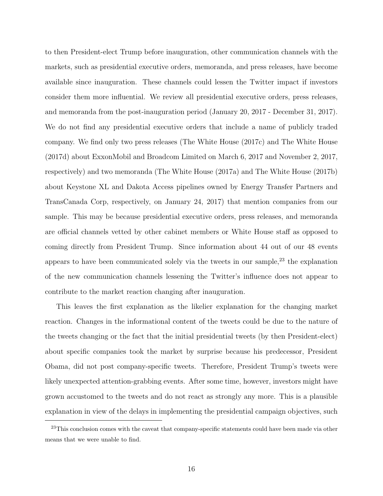to then President-elect Trump before inauguration, other communication channels with the markets, such as presidential executive orders, memoranda, and press releases, have become available since inauguration. These channels could lessen the Twitter impact if investors consider them more influential. We review all presidential executive orders, press releases, and memoranda from the post-inauguration period (January 20, 2017 - December 31, 2017). We do not find any presidential executive orders that include a name of publicly traded company. We find only two press releases (The White House (2017c) and The White House (2017d) about ExxonMobil and Broadcom Limited on March 6, 2017 and November 2, 2017, respectively) and two memoranda (The White House (2017a) and The White House (2017b) about Keystone XL and Dakota Access pipelines owned by Energy Transfer Partners and TransCanada Corp, respectively, on January 24, 2017) that mention companies from our sample. This may be because presidential executive orders, press releases, and memoranda are official channels vetted by other cabinet members or White House staff as opposed to coming directly from President Trump. Since information about 44 out of our 48 events appears to have been communicated solely via the tweets in our sample, $23$  the explanation of the new communication channels lessening the Twitter's influence does not appear to contribute to the market reaction changing after inauguration.

This leaves the first explanation as the likelier explanation for the changing market reaction. Changes in the informational content of the tweets could be due to the nature of the tweets changing or the fact that the initial presidential tweets (by then President-elect) about specific companies took the market by surprise because his predecessor, President Obama, did not post company-specific tweets. Therefore, President Trump's tweets were likely unexpected attention-grabbing events. After some time, however, investors might have grown accustomed to the tweets and do not react as strongly any more. This is a plausible explanation in view of the delays in implementing the presidential campaign objectives, such

<sup>&</sup>lt;sup>23</sup>This conclusion comes with the caveat that company-specific statements could have been made via other means that we were unable to find.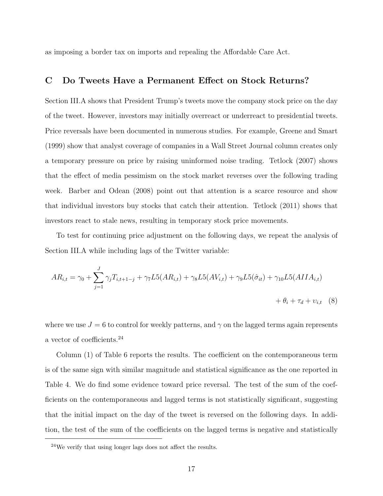as imposing a border tax on imports and repealing the Affordable Care Act.

#### C Do Tweets Have a Permanent Effect on Stock Returns?

Section III.A shows that President Trump's tweets move the company stock price on the day of the tweet. However, investors may initially overreact or underreact to presidential tweets. Price reversals have been documented in numerous studies. For example, Greene and Smart (1999) show that analyst coverage of companies in a Wall Street Journal column creates only a temporary pressure on price by raising uninformed noise trading. Tetlock (2007) shows that the effect of media pessimism on the stock market reverses over the following trading week. Barber and Odean (2008) point out that attention is a scarce resource and show that individual investors buy stocks that catch their attention. Tetlock (2011) shows that investors react to stale news, resulting in temporary stock price movements.

To test for continuing price adjustment on the following days, we repeat the analysis of Section III.A while including lags of the Twitter variable:

$$
AR_{i,t} = \gamma_0 + \sum_{j=1}^{J} \gamma_j T_{i,t+1-j} + \gamma_7 L5(AR_{i,t}) + \gamma_8 L5(AV_{i,t}) + \gamma_9 L5(\hat{\sigma}_{it}) + \gamma_{10} L5(AIIA_{i,t}) + \theta_i + \tau_d + \upsilon_{i,t} \quad (8)
$$

where we use  $J = 6$  to control for weekly patterns, and  $\gamma$  on the lagged terms again represents a vector of coefficients.<sup>24</sup>

Column (1) of Table 6 reports the results. The coefficient on the contemporaneous term is of the same sign with similar magnitude and statistical significance as the one reported in Table 4. We do find some evidence toward price reversal. The test of the sum of the coefficients on the contemporaneous and lagged terms is not statistically significant, suggesting that the initial impact on the day of the tweet is reversed on the following days. In addition, the test of the sum of the coefficients on the lagged terms is negative and statistically

 $24$ We verify that using longer lags does not affect the results.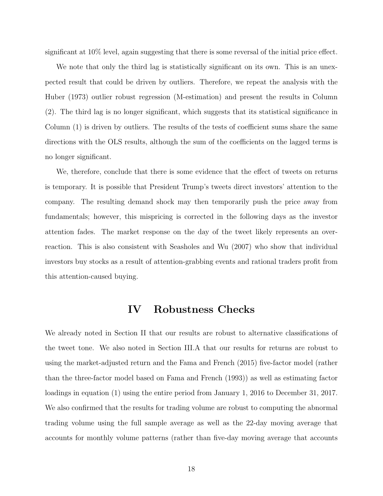significant at 10% level, again suggesting that there is some reversal of the initial price effect.

We note that only the third lag is statistically significant on its own. This is an unexpected result that could be driven by outliers. Therefore, we repeat the analysis with the Huber (1973) outlier robust regression (M-estimation) and present the results in Column (2). The third lag is no longer significant, which suggests that its statistical significance in Column (1) is driven by outliers. The results of the tests of coefficient sums share the same directions with the OLS results, although the sum of the coefficients on the lagged terms is no longer significant.

We, therefore, conclude that there is some evidence that the effect of tweets on returns is temporary. It is possible that President Trump's tweets direct investors' attention to the company. The resulting demand shock may then temporarily push the price away from fundamentals; however, this mispricing is corrected in the following days as the investor attention fades. The market response on the day of the tweet likely represents an overreaction. This is also consistent with Seasholes and Wu (2007) who show that individual investors buy stocks as a result of attention-grabbing events and rational traders profit from this attention-caused buying.

### IV Robustness Checks

We already noted in Section II that our results are robust to alternative classifications of the tweet tone. We also noted in Section III.A that our results for returns are robust to using the market-adjusted return and the Fama and French (2015) five-factor model (rather than the three-factor model based on Fama and French (1993)) as well as estimating factor loadings in equation (1) using the entire period from January 1, 2016 to December 31, 2017. We also confirmed that the results for trading volume are robust to computing the abnormal trading volume using the full sample average as well as the 22-day moving average that accounts for monthly volume patterns (rather than five-day moving average that accounts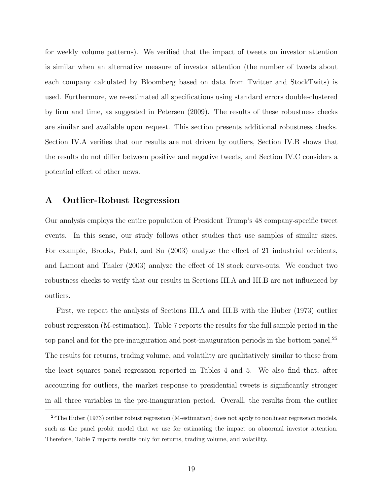for weekly volume patterns). We verified that the impact of tweets on investor attention is similar when an alternative measure of investor attention (the number of tweets about each company calculated by Bloomberg based on data from Twitter and StockTwits) is used. Furthermore, we re-estimated all specifications using standard errors double-clustered by firm and time, as suggested in Petersen (2009). The results of these robustness checks are similar and available upon request. This section presents additional robustness checks. Section IV.A verifies that our results are not driven by outliers, Section IV.B shows that the results do not differ between positive and negative tweets, and Section IV.C considers a potential effect of other news.

### A Outlier-Robust Regression

Our analysis employs the entire population of President Trump's 48 company-specific tweet events. In this sense, our study follows other studies that use samples of similar sizes. For example, Brooks, Patel, and Su (2003) analyze the effect of 21 industrial accidents, and Lamont and Thaler (2003) analyze the effect of 18 stock carve-outs. We conduct two robustness checks to verify that our results in Sections III.A and III.B are not influenced by outliers.

First, we repeat the analysis of Sections III.A and III.B with the Huber (1973) outlier robust regression (M-estimation). Table 7 reports the results for the full sample period in the top panel and for the pre-inauguration and post-inauguration periods in the bottom panel.<sup>25</sup> The results for returns, trading volume, and volatility are qualitatively similar to those from the least squares panel regression reported in Tables 4 and 5. We also find that, after accounting for outliers, the market response to presidential tweets is significantly stronger in all three variables in the pre-inauguration period. Overall, the results from the outlier

 $25$ The Huber (1973) outlier robust regression (M-estimation) does not apply to nonlinear regression models, such as the panel probit model that we use for estimating the impact on abnormal investor attention. Therefore, Table 7 reports results only for returns, trading volume, and volatility.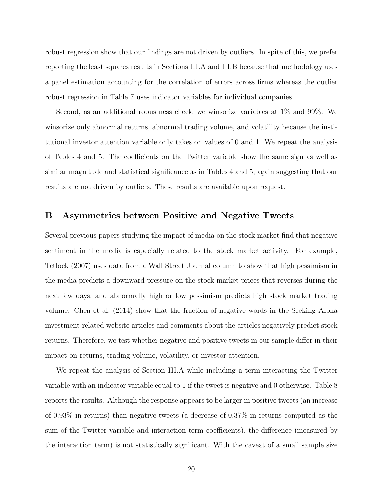robust regression show that our findings are not driven by outliers. In spite of this, we prefer reporting the least squares results in Sections III.A and III.B because that methodology uses a panel estimation accounting for the correlation of errors across firms whereas the outlier robust regression in Table 7 uses indicator variables for individual companies.

Second, as an additional robustness check, we winsorize variables at 1% and 99%. We winsorize only abnormal returns, abnormal trading volume, and volatility because the institutional investor attention variable only takes on values of 0 and 1. We repeat the analysis of Tables 4 and 5. The coefficients on the Twitter variable show the same sign as well as similar magnitude and statistical significance as in Tables 4 and 5, again suggesting that our results are not driven by outliers. These results are available upon request.

#### B Asymmetries between Positive and Negative Tweets

Several previous papers studying the impact of media on the stock market find that negative sentiment in the media is especially related to the stock market activity. For example, Tetlock (2007) uses data from a Wall Street Journal column to show that high pessimism in the media predicts a downward pressure on the stock market prices that reverses during the next few days, and abnormally high or low pessimism predicts high stock market trading volume. Chen et al. (2014) show that the fraction of negative words in the Seeking Alpha investment-related website articles and comments about the articles negatively predict stock returns. Therefore, we test whether negative and positive tweets in our sample differ in their impact on returns, trading volume, volatility, or investor attention.

We repeat the analysis of Section III.A while including a term interacting the Twitter variable with an indicator variable equal to 1 if the tweet is negative and 0 otherwise. Table 8 reports the results. Although the response appears to be larger in positive tweets (an increase of 0.93% in returns) than negative tweets (a decrease of 0.37% in returns computed as the sum of the Twitter variable and interaction term coefficients), the difference (measured by the interaction term) is not statistically significant. With the caveat of a small sample size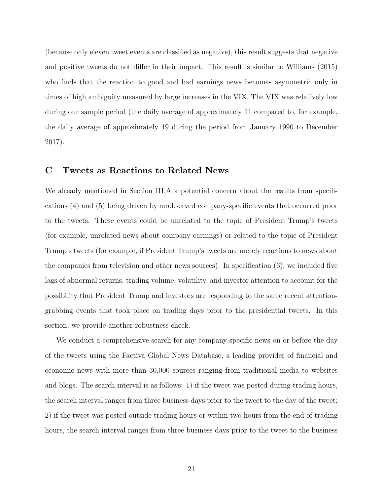(because only eleven tweet events are classified as negative), this result suggests that negative and positive tweets do not differ in their impact. This result is similar to Williams (2015) who finds that the reaction to good and bad earnings news becomes asymmetric only in times of high ambiguity measured by large increases in the VIX. The VIX was relatively low during our sample period (the daily average of approximately 11 compared to, for example, the daily average of approximately 19 during the period from January 1990 to December 2017).

#### C Tweets as Reactions to Related News

We already mentioned in Section III.A a potential concern about the results from specifications (4) and (5) being driven by unobserved company-specific events that occurred prior to the tweets. These events could be unrelated to the topic of President Trump's tweets (for example, unrelated news about company earnings) or related to the topic of President Trump's tweets (for example, if President Trump's tweets are merely reactions to news about the companies from television and other news sources). In specification (6), we included five lags of abnormal returns, trading volume, volatility, and investor attention to account for the possibility that President Trump and investors are responding to the same recent attentiongrabbing events that took place on trading days prior to the presidential tweets. In this section, we provide another robustness check.

We conduct a comprehensive search for any company-specific news on or before the day of the tweets using the Factiva Global News Database, a leading provider of financial and economic news with more than 30,000 sources ranging from traditional media to websites and blogs. The search interval is as follows: 1) if the tweet was posted during trading hours, the search interval ranges from three business days prior to the tweet to the day of the tweet; 2) if the tweet was posted outside trading hours or within two hours from the end of trading hours, the search interval ranges from three business days prior to the tweet to the business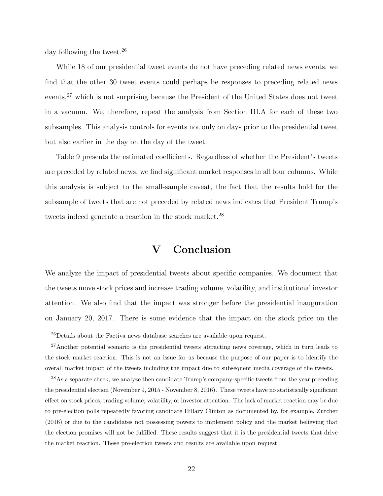day following the tweet.<sup>26</sup>

While 18 of our presidential tweet events do not have preceding related news events, we find that the other 30 tweet events could perhaps be responses to preceding related news events,<sup>27</sup> which is not surprising because the President of the United States does not tweet in a vacuum. We, therefore, repeat the analysis from Section III.A for each of these two subsamples. This analysis controls for events not only on days prior to the presidential tweet but also earlier in the day on the day of the tweet.

Table 9 presents the estimated coefficients. Regardless of whether the President's tweets are preceded by related news, we find significant market responses in all four columns. While this analysis is subject to the small-sample caveat, the fact that the results hold for the subsample of tweets that are not preceded by related news indicates that President Trump's tweets indeed generate a reaction in the stock market.<sup>28</sup>

## V Conclusion

We analyze the impact of presidential tweets about specific companies. We document that the tweets move stock prices and increase trading volume, volatility, and institutional investor attention. We also find that the impact was stronger before the presidential inauguration on January 20, 2017. There is some evidence that the impact on the stock price on the

<sup>26</sup>Details about the Factiva news database searches are available upon request.

<sup>&</sup>lt;sup>27</sup>Another potential scenario is the presidential tweets attracting news coverage, which in turn leads to the stock market reaction. This is not an issue for us because the purpose of our paper is to identify the overall market impact of the tweets including the impact due to subsequent media coverage of the tweets.

<sup>28</sup>As a separate check, we analyze then candidate Trump's company-specific tweets from the year preceding the presidential election (November 9, 2015 - November 8, 2016). These tweets have no statistically significant effect on stock prices, trading volume, volatility, or investor attention. The lack of market reaction may be due to pre-election polls repeatedly favoring candidate Hillary Clinton as documented by, for example, Zurcher (2016) or due to the candidates not possessing powers to implement policy and the market believing that the election promises will not be fulfilled. These results suggest that it is the presidential tweets that drive the market reaction. These pre-election tweets and results are available upon request.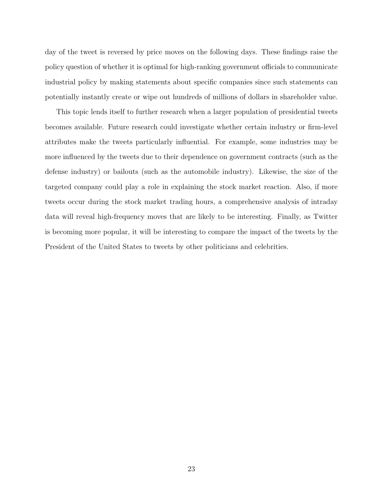day of the tweet is reversed by price moves on the following days. These findings raise the policy question of whether it is optimal for high-ranking government officials to communicate industrial policy by making statements about specific companies since such statements can potentially instantly create or wipe out hundreds of millions of dollars in shareholder value.

This topic lends itself to further research when a larger population of presidential tweets becomes available. Future research could investigate whether certain industry or firm-level attributes make the tweets particularly influential. For example, some industries may be more influenced by the tweets due to their dependence on government contracts (such as the defense industry) or bailouts (such as the automobile industry). Likewise, the size of the targeted company could play a role in explaining the stock market reaction. Also, if more tweets occur during the stock market trading hours, a comprehensive analysis of intraday data will reveal high-frequency moves that are likely to be interesting. Finally, as Twitter is becoming more popular, it will be interesting to compare the impact of the tweets by the President of the United States to tweets by other politicians and celebrities.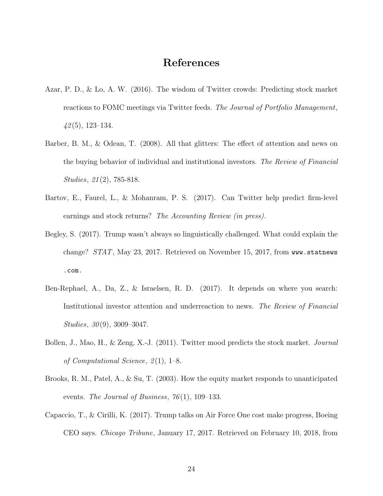### References

- Azar, P. D., & Lo, A. W. (2016). The wisdom of Twitter crowds: Predicting stock market reactions to FOMC meetings via Twitter feeds. The Journal of Portfolio Management,  $42(5)$ , 123-134.
- Barber, B. M., & Odean, T. (2008). All that glitters: The effect of attention and news on the buying behavior of individual and institutional investors. The Review of Financial Studies, 21 (2), 785-818.
- Bartov, E., Faurel, L., & Mohanram, P. S. (2017). Can Twitter help predict firm-level earnings and stock returns? The Accounting Review (in press).
- Begley, S. (2017). Trump wasn't always so linguistically challenged. What could explain the change? STAT, May 23, 2017. Retrieved on November 15, 2017, from www.statnews .com.
- Ben-Rephael, A., Da, Z., & Israelsen, R. D. (2017). It depends on where you search: Institutional investor attention and underreaction to news. The Review of Financial Studies, 30(9), 3009–3047.
- Bollen, J., Mao, H., & Zeng, X.-J. (2011). Twitter mood predicts the stock market. *Journal* of Computational Science,  $2(1)$ , 1–8.
- Brooks, R. M., Patel, A., & Su, T. (2003). How the equity market responds to unanticipated events. The Journal of Business,  $76(1)$ , 109–133.
- Capaccio, T., & Cirilli, K. (2017). Trump talks on Air Force One cost make progress, Boeing CEO says. Chicago Tribune, January 17, 2017. Retrieved on February 10, 2018, from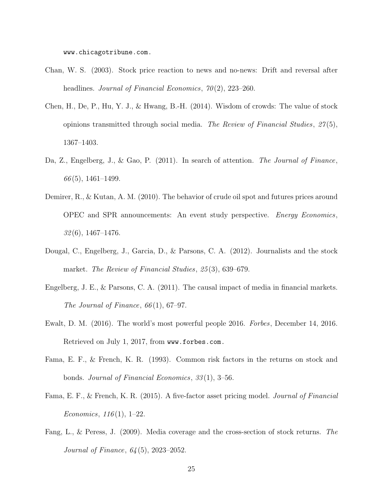www.chicagotribune.com.

- Chan, W. S. (2003). Stock price reaction to news and no-news: Drift and reversal after headlines. Journal of Financial Economics,  $70(2)$ , 223–260.
- Chen, H., De, P., Hu, Y. J., & Hwang, B.-H. (2014). Wisdom of crowds: The value of stock opinions transmitted through social media. The Review of Financial Studies,  $27(5)$ , 1367–1403.
- Da, Z., Engelberg, J., & Gao, P. (2011). In search of attention. The Journal of Finance,  $66(5)$ , 1461–1499.
- Demirer, R., & Kutan, A. M. (2010). The behavior of crude oil spot and futures prices around OPEC and SPR announcements: An event study perspective. Energy Economics,  $32(6)$ , 1467–1476.
- Dougal, C., Engelberg, J., Garcia, D., & Parsons, C. A. (2012). Journalists and the stock market. The Review of Financial Studies, 25(3), 639–679.
- Engelberg, J. E., & Parsons, C. A. (2011). The causal impact of media in financial markets. The Journal of Finance,  $66(1)$ , 67–97.
- Ewalt, D. M. (2016). The world's most powerful people 2016. Forbes, December 14, 2016. Retrieved on July 1, 2017, from www.forbes.com.
- Fama, E. F., & French, K. R. (1993). Common risk factors in the returns on stock and bonds. Journal of Financial Economics, 33 (1), 3–56.
- Fama, E. F., & French, K. R. (2015). A five-factor asset pricing model. Journal of Financial Economics,  $116(1)$ , 1–22.
- Fang, L., & Peress, J. (2009). Media coverage and the cross-section of stock returns. The Journal of Finance, 64 (5), 2023–2052.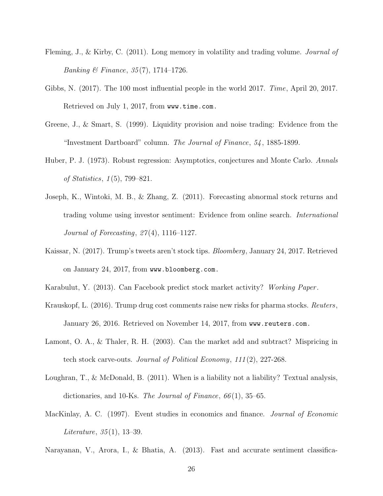- Fleming, J., & Kirby, C. (2011). Long memory in volatility and trading volume. Journal of Banking & Finance,  $35(7)$ , 1714–1726.
- Gibbs, N. (2017). The 100 most influential people in the world 2017. Time, April 20, 2017. Retrieved on July 1, 2017, from www.time.com.
- Greene, J., & Smart, S. (1999). Liquidity provision and noise trading: Evidence from the "Investment Dartboard" column. The Journal of Finance, 54 , 1885-1899.
- Huber, P. J. (1973). Robust regression: Asymptotics, conjectures and Monte Carlo. Annals of Statistics, 1 (5), 799–821.
- Joseph, K., Wintoki, M. B., & Zhang, Z. (2011). Forecasting abnormal stock returns and trading volume using investor sentiment: Evidence from online search. International Journal of Forecasting,  $27(4)$ , 1116–1127.
- Kaissar, N. (2017). Trump's tweets aren't stock tips. Bloomberg, January 24, 2017. Retrieved on January 24, 2017, from www.bloomberg.com.
- Karabulut, Y. (2013). Can Facebook predict stock market activity? Working Paper .
- Krauskopf, L. (2016). Trump drug cost comments raise new risks for pharma stocks. *Reuters*, January 26, 2016. Retrieved on November 14, 2017, from www.reuters.com.
- Lamont, O. A., & Thaler, R. H. (2003). Can the market add and subtract? Mispricing in tech stock carve-outs. Journal of Political Economy, 111 (2), 227-268.
- Loughran, T., & McDonald, B. (2011). When is a liability not a liability? Textual analysis, dictionaries, and 10-Ks. The Journal of Finance,  $66(1)$ , 35–65.
- MacKinlay, A. C. (1997). Event studies in economics and finance. *Journal of Economic Literature*,  $35(1)$ , 13-39.

Narayanan, V., Arora, I., & Bhatia, A. (2013). Fast and accurate sentiment classifica-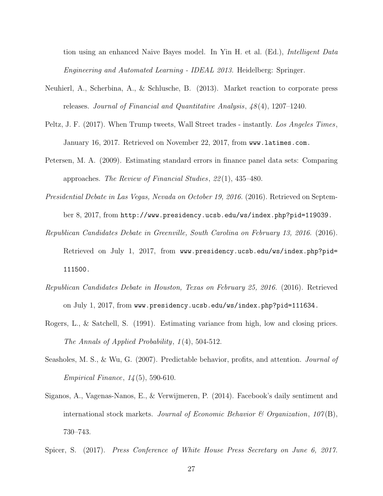tion using an enhanced Naive Bayes model. In Yin H. et al. (Ed.), Intelligent Data Engineering and Automated Learning - IDEAL 2013. Heidelberg: Springer.

- Neuhierl, A., Scherbina, A., & Schlusche, B. (2013). Market reaction to corporate press releases. Journal of Financial and Quantitative Analysis, 48 (4), 1207–1240.
- Peltz, J. F. (2017). When Trump tweets, Wall Street trades instantly. Los Angeles Times, January 16, 2017. Retrieved on November 22, 2017, from www.latimes.com.
- Petersen, M. A. (2009). Estimating standard errors in finance panel data sets: Comparing approaches. The Review of Financial Studies, 22 (1), 435–480.
- Presidential Debate in Las Vegas, Nevada on October 19, 2016. (2016). Retrieved on September 8, 2017, from http://www.presidency.ucsb.edu/ws/index.php?pid=119039.
- Republican Candidates Debate in Greenville, South Carolina on February 13, 2016. (2016). Retrieved on July 1, 2017, from www.presidency.ucsb.edu/ws/index.php?pid= 111500.
- Republican Candidates Debate in Houston, Texas on February 25, 2016. (2016). Retrieved on July 1, 2017, from www.presidency.ucsb.edu/ws/index.php?pid=111634.
- Rogers, L., & Satchell, S. (1991). Estimating variance from high, low and closing prices. The Annals of Applied Probability, 1 (4), 504-512.
- Seasholes, M. S., & Wu, G. (2007). Predictable behavior, profits, and attention. Journal of Empirical Finance, 14 (5), 590-610.
- Siganos, A., Vagenas-Nanos, E., & Verwijmeren, P. (2014). Facebook's daily sentiment and international stock markets. Journal of Economic Behavior  $\mathcal B$  Organization, 107(B), 730–743.
- Spicer, S. (2017). Press Conference of White House Press Secretary on June 6, 2017.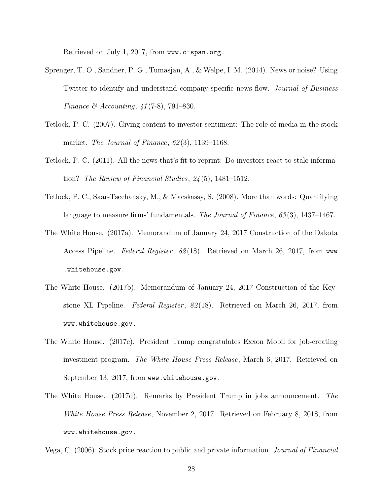Retrieved on July 1, 2017, from www.c-span.org.

- Sprenger, T. O., Sandner, P. G., Tumasjan, A., & Welpe, I. M. (2014). News or noise? Using Twitter to identify and understand company-specific news flow. Journal of Business *Finance* & *Accounting*,  $41(7-8)$ , 791–830.
- Tetlock, P. C. (2007). Giving content to investor sentiment: The role of media in the stock market. The Journal of Finance,  $62(3)$ , 1139–1168.
- Tetlock, P. C. (2011). All the news that's fit to reprint: Do investors react to stale information? The Review of Financial Studies, 24 (5), 1481–1512.
- Tetlock, P. C., Saar-Tsechansky, M., & Macskassy, S. (2008). More than words: Quantifying language to measure firms' fundamentals. The Journal of Finance, 63(3), 1437–1467.
- The White House. (2017a). Memorandum of January 24, 2017 Construction of the Dakota Access Pipeline. *Federal Register*, 82(18). Retrieved on March 26, 2017, from www .whitehouse.gov.
- The White House. (2017b). Memorandum of January 24, 2017 Construction of the Keystone XL Pipeline. *Federal Register*,  $82(18)$ . Retrieved on March 26, 2017, from www.whitehouse.gov.
- The White House. (2017c). President Trump congratulates Exxon Mobil for job-creating investment program. The White House Press Release, March 6, 2017. Retrieved on September 13, 2017, from www.whitehouse.gov.
- The White House. (2017d). Remarks by President Trump in jobs announcement. The White House Press Release, November 2, 2017. Retrieved on February 8, 2018, from www.whitehouse.gov.

Vega, C. (2006). Stock price reaction to public and private information. Journal of Financial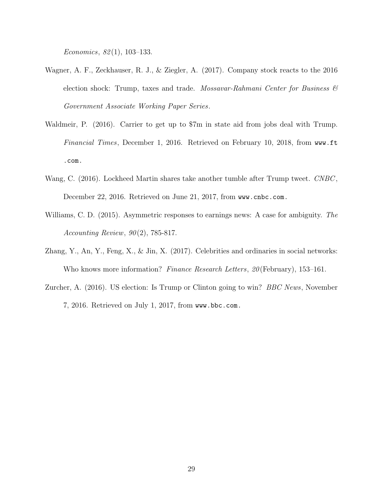Economics, 82 (1), 103–133.

- Wagner, A. F., Zeckhauser, R. J., & Ziegler, A. (2017). Company stock reacts to the 2016 election shock: Trump, taxes and trade. Mossavar-Rahmani Center for Business  $\mathcal{C}$ Government Associate Working Paper Series.
- Waldmeir, P. (2016). Carrier to get up to \$7m in state aid from jobs deal with Trump. Financial Times, December 1, 2016. Retrieved on February 10, 2018, from www.ft .com.
- Wang, C. (2016). Lockheed Martin shares take another tumble after Trump tweet. CNBC, December 22, 2016. Retrieved on June 21, 2017, from www.cnbc.com.
- Williams, C. D. (2015). Asymmetric responses to earnings news: A case for ambiguity. The Accounting Review,  $90(2)$ , 785-817.
- Zhang, Y., An, Y., Feng, X., & Jin, X. (2017). Celebrities and ordinaries in social networks: Who knows more information? Finance Research Letters, 20 (February), 153–161.
- Zurcher, A. (2016). US election: Is Trump or Clinton going to win? BBC News, November 7, 2016. Retrieved on July 1, 2017, from www.bbc.com.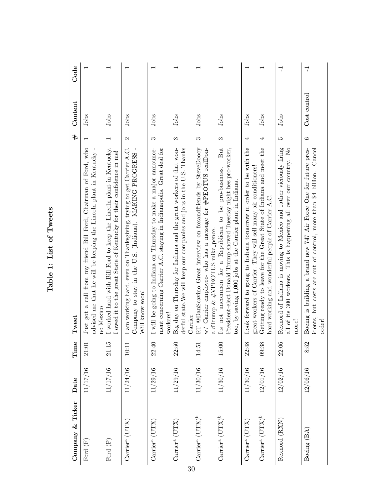| ĺ<br>.<br>1<br>É                    |
|-------------------------------------|
| 5                                   |
| ľ                                   |
| ┥                                   |
| ∍<br>)<br> <br> <br>$\vec{r}$<br>۰. |

| Company & Ticker                                  | Date       | Time  | Tweet                                                                                                                                                                                           | $\#$                     | Content      | Code |
|---------------------------------------------------|------------|-------|-------------------------------------------------------------------------------------------------------------------------------------------------------------------------------------------------|--------------------------|--------------|------|
| Ford $(F)$                                        | 11/17/16   | 21:01 | Just got a call from my friend Bill Ford, Chairman of Ford, who<br>advised me that he will be keeping the Lincoln plant in Kentucky -<br>no Mexico                                              | $\overline{\phantom{0}}$ | Jobs         |      |
| Ford $(F)$                                        | 11/17/16   | 21:15 | I worked hard with Bill Ford to keep the Lincoln plant in Kentucky.<br>I owed it to the great State of Kentucky for their confidence in me!                                                     | $\overline{\phantom{0}}$ | Jobs         |      |
| $\text{Carrier}^{\mathbf{a}}(\text{UTX})$         | 11/24/16   | 10:11 | I am working hard, even on Thanksgiving, trying to get Carrier A.C.<br>Company to stay in the U.S. (Indiana). MAKING PROGRESS -<br>Will know soon!                                              | $\mathbf{\Omega}$        | Jobs         |      |
| Carrier <sup>a</sup> (UTX)                        | 11/29/16   | 22:40 | ment concerning Carrier A.C. staying in Indianapolis. Great deal for<br>I will be going to Indiana on Thursday to make a major announce-<br>workers!                                            | S                        | Jobs         |      |
| $\text{Carrier}^a$ (UTX)                          | 11/29/16   | 22:50 | derful state. We will keep our companies and jobs in the U.S. Thanks<br>Big day on Thursday for Indiana and the great workers of that won-<br>Carrier                                           | S                        | Jobs         |      |
| $Carrier^a (UTX)^b$                               | $11/30/16$ | 14:51 | RT @DanScavino Great interview on foxandfriends by SteveDoocy<br>$w/$ Carrier employee- who has a message for $#PEOTUS$ realDon-<br>aldTrump & $\#VPOTUS$ mike_pence.                           | S                        | Jobs         |      |
| $Carrier^a (UTX)^b$                               | 11/30/16   | 15:00 | But<br>President-elect Donald Trump showed Tuesday night hes pro-worker,<br>Its not uncommon for a Republican to be pro-business.<br>too, by saving 1,000 jobs at the Carrier plant in Indiana. | S                        | Jobs         |      |
| Carrier <sup>a</sup> (UTX                         | 11/30/16   | 22:48 | Look forward to going to Indiana tomorrow in order to be with the<br>great workers of Carrier. They will sell many air conditioners!                                                            | 4                        | Jobs         |      |
| $\operatorname{Carrier}^a (\operatorname{UTX})^b$ | $12/01/16$ | 09:38 | Getting ready to leave for the Great State of Indiana and meet the<br>hard working and wonderful people of Carrier A.C.                                                                         | 4                        | Jobs         |      |
| Rexnord (RXN)                                     | 12/02/16   | 22:06 | all of its 300 workers. This is happening all over our country. No<br>Rexnord of Indiana is moving to Mexico and rather viciously firing<br>more!                                               | Ľ                        | Jobs         | 루    |
| Boeing (BA)                                       | 12/06/16   | 8:52  | Boeing is building a brand new 747 Air Force One for future pres-<br>idents, but costs are out of control, more than \$4 billion. Cancel<br>order!                                              | $\circ$                  | Cost control | 7    |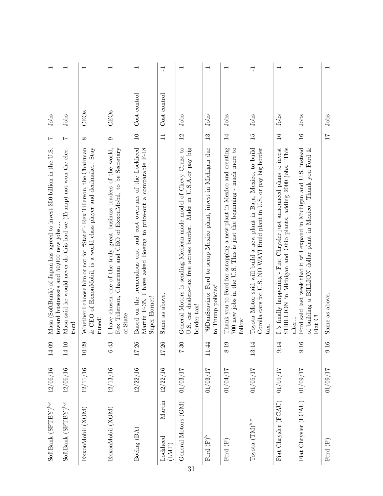| Cost control<br>Cost control<br><b>CEOs</b><br>CEOs<br>Jobs<br>Jobs<br>Jobs<br>$\overline{10}$<br>$\frac{3}{2}$<br>$\Box$<br>$\overline{2}$<br>$\overline{14}$<br>$\infty$<br>6<br>Whether I choose him or not for "State" - Rex Tillerson, the Chairman | Jobs<br>$\overline{1}$ | Jobs<br>$\overline{16}$                                                                                                                                                                                                                                                                                                                                                                                                                                                                                                                                                                                                                                                                                                                                                                                                                                                                                                                                        | Jobs<br>16                                                                                                                                                     |
|----------------------------------------------------------------------------------------------------------------------------------------------------------------------------------------------------------------------------------------------------------|------------------------|----------------------------------------------------------------------------------------------------------------------------------------------------------------------------------------------------------------------------------------------------------------------------------------------------------------------------------------------------------------------------------------------------------------------------------------------------------------------------------------------------------------------------------------------------------------------------------------------------------------------------------------------------------------------------------------------------------------------------------------------------------------------------------------------------------------------------------------------------------------------------------------------------------------------------------------------------------------|----------------------------------------------------------------------------------------------------------------------------------------------------------------|
|                                                                                                                                                                                                                                                          |                        |                                                                                                                                                                                                                                                                                                                                                                                                                                                                                                                                                                                                                                                                                                                                                                                                                                                                                                                                                                |                                                                                                                                                                |
| I have chosen one of the truly<br>to Trump policies"<br>Same as above.<br>Super Hornet!<br>border tax!<br>of State.<br>tuned!<br>follow<br>6:43                                                                                                          | tax.                   | "@DanScavino: Ford to scrap Mexico plant, invest in Michigan due<br>General Motors is sending Mexican made model of Chevy Cruze to<br>U.S. car dealers-tax free across border. Make in U.S.A.or pay big<br>Thank you to Ford for scrapping a new plant in Mexico and creating<br>700 new jobs in the U.S. This is just the beginning - much more to<br>Based on the tremendous cost and cost overruns of the Lockheed<br>Martin F-35, I have asked Boeing to price-out a comparable F-18<br>Toyota Motor said will build a new plant in Baja, Mexico, to build<br>It's finally happening - Fiat Chrysler just announced plans to invest<br>\$1BILLION in Michigan and Ohio plants, adding 2000 jobs. This<br>& CEO of ExxonMobil, is a world class player and dealmaker. Stay<br>great business leaders of the world,<br>Rex Tillerson, Chairman and CEO of ExxonMobil, to be Secretary<br>Corolla cars for U.S. NO WAY! Build plant in U.S. or pay big border | Ford said last week that it will expand in Michigan and U.S. instead<br>of building a BILLION dollar plant in Mexico. Thank you Ford &<br>Ū<br>after<br>Fiat ( |
| 17:26<br>17:26<br>7:30<br>11:44<br>8:19<br>12/13/16                                                                                                                                                                                                      | 13:14                  | 9:14                                                                                                                                                                                                                                                                                                                                                                                                                                                                                                                                                                                                                                                                                                                                                                                                                                                                                                                                                           | 0:16                                                                                                                                                           |
| 12/22/16<br>12/22/16<br>01/03/17<br>01/03/17<br>01/04/17<br>Martin<br>General Motors (GM)                                                                                                                                                                | 01/05/17               | 01/00/17                                                                                                                                                                                                                                                                                                                                                                                                                                                                                                                                                                                                                                                                                                                                                                                                                                                                                                                                                       | Fiat Chrysler (FCAU) 01/09/17                                                                                                                                  |
|                                                                                                                                                                                                                                                          |                        |                                                                                                                                                                                                                                                                                                                                                                                                                                                                                                                                                                                                                                                                                                                                                                                                                                                                                                                                                                |                                                                                                                                                                |
|                                                                                                                                                                                                                                                          |                        |                                                                                                                                                                                                                                                                                                                                                                                                                                                                                                                                                                                                                                                                                                                                                                                                                                                                                                                                                                |                                                                                                                                                                |
|                                                                                                                                                                                                                                                          |                        |                                                                                                                                                                                                                                                                                                                                                                                                                                                                                                                                                                                                                                                                                                                                                                                                                                                                                                                                                                |                                                                                                                                                                |
|                                                                                                                                                                                                                                                          |                        |                                                                                                                                                                                                                                                                                                                                                                                                                                                                                                                                                                                                                                                                                                                                                                                                                                                                                                                                                                |                                                                                                                                                                |
|                                                                                                                                                                                                                                                          |                        |                                                                                                                                                                                                                                                                                                                                                                                                                                                                                                                                                                                                                                                                                                                                                                                                                                                                                                                                                                |                                                                                                                                                                |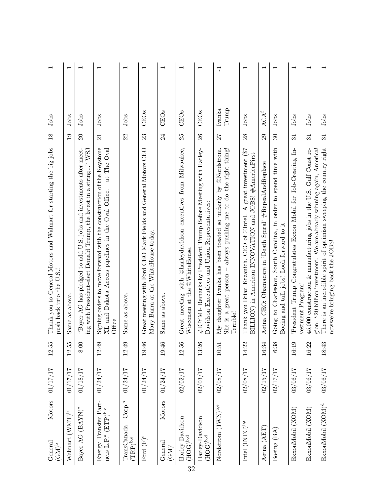| Motors<br>Bayer AG (BAYN) <sup>c</sup><br>Walmart $(WMT)^b$ | 01/17/17<br>01/17/17 | 12:55<br>12:55 | Thank you to General Motors and Walmart for starting the big jobs<br>push back into the U.S.!<br>Same as above.                                     | $\frac{8}{18}$<br>19 | Jobs<br>Jobs                                  |   |
|-------------------------------------------------------------|----------------------|----------------|-----------------------------------------------------------------------------------------------------------------------------------------------------|----------------------|-----------------------------------------------|---|
| 01/18/17                                                    |                      | 8:00           | "Bayer AG has pledged to add U.S. jobs and investments after meet-<br>ing with President-elect Donald Trump, the latest in a string" WSJ            | $\Omega$             | Jobs                                          |   |
| 01/24/17                                                    |                      | 12:49          | Signing orders to move forward with the construction of the Keystone<br>at The Oval<br>XL and Dakota Access pipelines in the Oval Office.<br>Office | $\overline{21}$      | Jobs                                          |   |
| 01/24/17                                                    |                      | 12:49          | Same as above.                                                                                                                                      | 22                   | Jobs                                          |   |
| 01/24/17                                                    |                      | G<br>19:4      | Great meeting with Ford CEO Mark Fields and General Motors CEO<br>Mary Barra at the WhiteHouse today.                                               | 23                   | CEOs                                          |   |
| 01/24/17                                                    |                      | 19:46          | Same as above.                                                                                                                                      | 24                   | <b>CEOs</b>                                   |   |
| 02/02/17                                                    |                      | 12:56          | @harleydavidson executives from Milwaukee,<br>Wisconsin at the @WhiteHouse.<br>Great meeting with                                                   | 25                   | <b>CEOs</b>                                   |   |
| 02/03/17                                                    |                      | 13:26          | #ICYMI- Remarks by President Trump Before Meeting with Harley-<br>Davidson Executives and Union Representatives:                                    | 26                   | <b>CEOs</b>                                   |   |
| 02/08/17                                                    |                      | 10:51          | My daughter Ivanka has been treated so unfairly by @Nordstrom.<br>She is a great person $-$ always pushing me to do the right thing!<br>Terrible!   | 27                   | Trump<br>Ivanka                               | 루 |
| 02/08/17                                                    |                      | 14:22          | Thank you Brian Krzanich, CEO of @Intel. A great investment (\$7<br>BILLION) in American INNOVATION and JOBS! #AmericaFirst                         | 28                   | Jobs                                          |   |
| 02/15/17                                                    |                      | 16:34          | Aetna CEO: Obamacare in 'Death Spiral' #RepealAndReplace                                                                                            | 29                   | $\mathbf{A}\mathbf{C}\mathbf{A}^{\mathrm{f}}$ |   |
| 02/17/17                                                    |                      | 6:38           | Going to Charleston, South Carolina, in order to spend time with<br>Boeing and talk jobs! Look forward to it.                                       | $\mathcal{S}$        | Jobs                                          |   |
| 03/06/17                                                    |                      | 16:19          | President Trump Congratulates Exxon Mobil for Job-Creating In-<br>vestment Program'                                                                 | $\overline{3}$       | Jobs                                          |   |
| 03/06/17                                                    |                      | 16:22          | $45,000$ construction $\&$ manufacturing jobs in the U.S. Gulf Coast re-<br>gion. \$20 billion investment. We are already winning again, America!   | $\overline{31}$      | Jobs                                          |   |
| $03/06/17$                                                  |                      | 18:43          | There is an incredible spirit of optimism sweeping the country right<br>nowwe're bringing back the JOBS!                                            | $\overline{31}$      | Jobs                                          |   |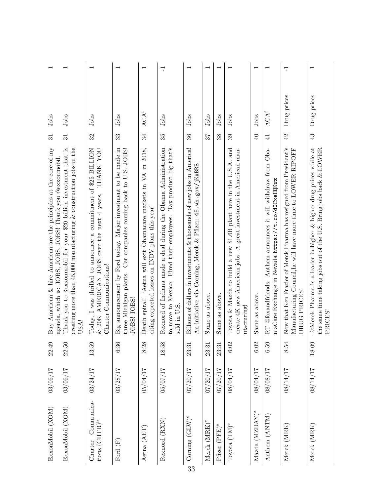|                                                                                                                                    |                                                                                                                                                      |                                                                                                                                                         |                                                                                                                                                    |                                                                                                                    | 루                                                                                                                                                  |                                                                                                                                         |                          | $\overline{\phantom{0}}$  |                                                                                                                                                      |                                |                                                                                                                     | 루                                                                                                                                                   | 루                                                                                                                                                       |
|------------------------------------------------------------------------------------------------------------------------------------|------------------------------------------------------------------------------------------------------------------------------------------------------|---------------------------------------------------------------------------------------------------------------------------------------------------------|----------------------------------------------------------------------------------------------------------------------------------------------------|--------------------------------------------------------------------------------------------------------------------|----------------------------------------------------------------------------------------------------------------------------------------------------|-----------------------------------------------------------------------------------------------------------------------------------------|--------------------------|---------------------------|------------------------------------------------------------------------------------------------------------------------------------------------------|--------------------------------|---------------------------------------------------------------------------------------------------------------------|-----------------------------------------------------------------------------------------------------------------------------------------------------|---------------------------------------------------------------------------------------------------------------------------------------------------------|
| Jobs                                                                                                                               | Jobs                                                                                                                                                 | Jobs                                                                                                                                                    | Jobs                                                                                                                                               | $\mathbf{A}\mathbf{C}\mathbf{A}^{\mathrm{f}}$                                                                      | Jobs                                                                                                                                               | Jobs                                                                                                                                    | Jobs                     | Jobs                      | Jobs                                                                                                                                                 | Jobs                           | ACA <sup>f</sup>                                                                                                    | Drug prices                                                                                                                                         | Drug prices                                                                                                                                             |
| $\overline{31}$                                                                                                                    | $\overline{31}$                                                                                                                                      | 32                                                                                                                                                      | 33                                                                                                                                                 | 34                                                                                                                 | 35                                                                                                                                                 | 36                                                                                                                                      | 57                       | 38                        | 86                                                                                                                                                   | $\Theta$                       | $\overline{4}$                                                                                                      | $42$                                                                                                                                                | 43                                                                                                                                                      |
| Buy American $\&$ hire American are the principles at the core of my<br>agenda, which is: JOBS, JOBS, JOBS! Thank you @exxonmobil. | Thank you to @exxonmobil for your \$20 billion investment that is<br>creating more than $45,000$ manufacturing $\&$ construction jobs in the<br>USA! | AMERICAN JOBS over the next 4 years. THANK YOU<br>Today, I was thrilled to announce a commitment of \$25 BILLION<br>Charter Communications!<br>$\&$ 20K | Big announcement by Ford today. Major investment to be made in<br>Car companies coming back to U.S. JOBS!<br>three Michigan plants.<br>JOBS! JOBS! | Death spiral! 'Aetna will exit Obamacare markets in VA in 2018,<br>citing expected losses on INDV plans this year' | to move to Mexico. Fired their employees. Tax product big that's<br>Rexnord of Indiana made a deal during the Obama Administration<br>sold in U.S. | Billions of dollars in investments $&$ thousands of new jobs in America!<br>An initiative via Corning, Merck & Pfizer: 45.wh.gov/jKxBRE | Same as above.           | Same as above.            | Toyota & Mazda to build a new \$1.6B plant here in the U.S.A. and<br>create 4K new American jobs. A great investment in American man-<br>ufacturing! | Same as above.                 | RT @foxandfriends: Anthem announces it will withdraw from Oba-<br>maCare Exchange in Nevada https://t.co/d0CxeHQKwz | Now that Ken Frazier of Merck Pharma has resigned from President's<br>Manufacturing Council, he will have more time to LOWER RIPOFF<br>DRUG PRICES! | $@$ Merck Pharma is a leader in higher & higher drug prices while at<br>the same time taking jobs out of the U.S. Bring jobs back $\&$ LOWER<br>PRICES! |
| 22:49                                                                                                                              | 22:50                                                                                                                                                | 13:59                                                                                                                                                   | 6:36                                                                                                                                               | 8:28                                                                                                               | 18:58                                                                                                                                              | 23:31                                                                                                                                   | 23:31                    | 23:31                     | 6:02                                                                                                                                                 | 6:02                           | 6:59                                                                                                                | 8:54                                                                                                                                                | 18:09                                                                                                                                                   |
| 03/06/17                                                                                                                           | 03/06/17                                                                                                                                             | 03/24/17                                                                                                                                                | 03/28/17                                                                                                                                           | 05/04/17                                                                                                           | 05/07/17                                                                                                                                           | 07/20/17                                                                                                                                | 07/20/17                 | 07/20/17                  | 08/04/17                                                                                                                                             | 08/04/17                       | 08/08/17                                                                                                            | 08/14/17                                                                                                                                            | 08/14/17                                                                                                                                                |
| ExxonMobil (XOM)                                                                                                                   | ExxonMobil (XOM)                                                                                                                                     | Charter Communica-<br>tions $(\mathrm{CHTR})^\mathrm{b}$                                                                                                | Ford $(F)$                                                                                                                                         | Aetna (AET)                                                                                                        | Rexnord (RXN)                                                                                                                                      | $\frac{1}{2}$ Corning (GLW) <sup>e</sup>                                                                                                | Merck (MRK) <sup>e</sup> | Pfizer (PFE) <sup>e</sup> | $\operatorname{Toyota}$ (TM)°                                                                                                                        | Mazda $(\mbox{MZDAY})^{\rm c}$ | Anthem (ANTM)                                                                                                       | Merck (MRK)                                                                                                                                         | Merck (MRK)                                                                                                                                             |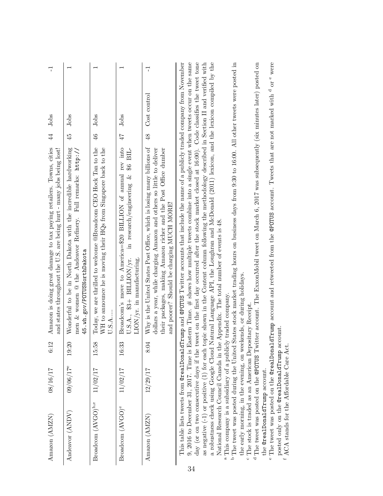|    | Amazon (AMZN)                                                                                                                                                                                                                                                                                                                                         | 08/16/17           | 6:12  | Jobs<br>$\overline{4}$<br>Amazon is doing great damage to tax paying retailers. Towns, cities<br>and states throughout the U.S. are being hurt - many jobs being lost!                                                                                                                                                                                                                                                                                                                                                                                                                                                                                                                                                                                                                                                                                                                                                                                                                                                                                                                                                                                                                                                                                                                                                                      | 루 |
|----|-------------------------------------------------------------------------------------------------------------------------------------------------------------------------------------------------------------------------------------------------------------------------------------------------------------------------------------------------------|--------------------|-------|---------------------------------------------------------------------------------------------------------------------------------------------------------------------------------------------------------------------------------------------------------------------------------------------------------------------------------------------------------------------------------------------------------------------------------------------------------------------------------------------------------------------------------------------------------------------------------------------------------------------------------------------------------------------------------------------------------------------------------------------------------------------------------------------------------------------------------------------------------------------------------------------------------------------------------------------------------------------------------------------------------------------------------------------------------------------------------------------------------------------------------------------------------------------------------------------------------------------------------------------------------------------------------------------------------------------------------------------|---|
|    | Andeavor (ANDV)                                                                                                                                                                                                                                                                                                                                       | $09/06/17^{\circ}$ | 19:20 | Jobs<br>45<br>Wonderful to be in North Dakota with the incredible hardworking<br>men $\&$ women @ the Andeavor Refinery. Full remarks: $http://$<br>45. wh.gov/POTUSNorthDakota                                                                                                                                                                                                                                                                                                                                                                                                                                                                                                                                                                                                                                                                                                                                                                                                                                                                                                                                                                                                                                                                                                                                                             |   |
|    | Broadcom $(AVGO)^{b,e}$                                                                                                                                                                                                                                                                                                                               | 11/02/17           | 15:58 | Jobs<br>$\overline{46}$<br>Today, we are thrilled to welcome @Broadcom CEO Hock Tan to the<br>WH to announce he is moving their HQs from Singapore back to the<br>U.S.A                                                                                                                                                                                                                                                                                                                                                                                                                                                                                                                                                                                                                                                                                                                                                                                                                                                                                                                                                                                                                                                                                                                                                                     |   |
|    | Broadcom (AVGO) <sup>e</sup>                                                                                                                                                                                                                                                                                                                          | 11/02/17           | 16:33 | Jobs<br>47<br>Broadcom's move to America=\$20 BILLION of annual rev into<br>$$6$ BIL-<br>in research/engineering $&$<br>$LION/yr.$ in manufacturing.<br>$U.S.A.,$ \$3+ BILLION/yr.                                                                                                                                                                                                                                                                                                                                                                                                                                                                                                                                                                                                                                                                                                                                                                                                                                                                                                                                                                                                                                                                                                                                                          |   |
|    | Amazon (AMZN)                                                                                                                                                                                                                                                                                                                                         | 12/29/17           | 8:04  | Cost control<br>48<br>Why is the United States Post Office, which is losing many billions of<br>dollars a year, while charging Amazon and others so little to deliver<br>their packages, making Amazon richer and the Post Office dumber<br>and poorer? Should be charging MUCH MORE!                                                                                                                                                                                                                                                                                                                                                                                                                                                                                                                                                                                                                                                                                                                                                                                                                                                                                                                                                                                                                                                       | 루 |
| 34 | <sup>a</sup> This company is a subsidiary of a publicly traded company.<br>The stock is traded as an American Depositary Receipt<br>posted only on the @realDonaldTrump account.<br>National Research Council Canada in the<br>ACA stands for the Affordable Care Act.<br>the @realDonaldTrump account.<br>م<br>$\overline{\sigma}$<br>$\ddot{\circ}$ |                    |       | The tweet was posted on the @realDonaldTrump account and retweeted from the @POTUS account. Tweets that are not marked with <sup>d</sup> or <sup>e</sup> were<br>9, 2016 to December 31, 2017. Time is Eastern Time. $\#$ shows how multiple tweets combine into a single event when tweets occur on the same<br>a robustness check using Google Cloud Natural Language API, the Loughran and McDonald (2011) lexicon, and the lexicon compiled by the<br>The tweet was posted on the @POTUS Twitter account. The ExxonMobil tweet on March 6, 2017 was subsequently (six minutes later) posted on<br>This table lists tweets from <b>@realDonaldTrum</b> p and <b>@POTUS</b> Twitter accounts that include the name of a publicly traded company from November<br>day (or on two consecutive days if the tweet on the first day occurred after the stock market closed at 16:00). Code classifies the tweet tone<br>as negative (-1) or positive (1) for each topic shown in the Content column following the methodology described in Section II and verified with<br>The tweet was posted during the United States stock market trading hours on business days from 9:30 to 16:00. All other tweets were posted in<br>Appendix. The total number of events is 48.<br>the early morning, in the evening, on weekends, or during holidays. |   |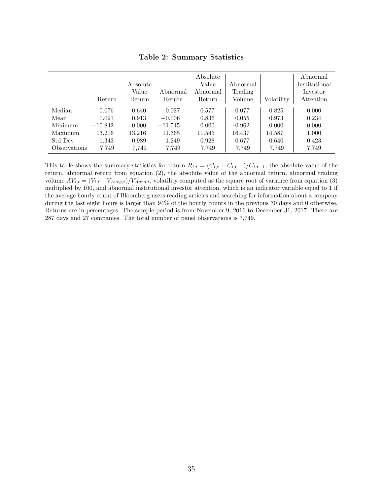|  | Table 2: Summary Statistics |  |
|--|-----------------------------|--|
|--|-----------------------------|--|

|                     |           | Absolute<br>Value | Abnormal  | Absolute<br>Value<br>Abnormal | Abnormal<br>Trading |            | Abnormal<br>Institutional<br>Investor |
|---------------------|-----------|-------------------|-----------|-------------------------------|---------------------|------------|---------------------------------------|
|                     | Return    | Return            | Return    | Return                        | Volume              | Volatility | Attention                             |
| Median              | 0.076     | 0.640             | $-0.027$  | 0.577                         | $-0.077$            | 0.825      | 0.000                                 |
| Mean                | 0.091     | 0.913             | $-0.006$  | 0.836                         | 0.055               | 0.973      | 0.234                                 |
| Minimum             | $-10.842$ | 0.000             | $-11.545$ | 0.000                         | $-0.962$            | 0.000      | 0.000                                 |
| Maximum             | 13.216    | 13.216            | 11.365    | 11.545                        | 16.437              | 14.587     | 1.000                                 |
| Std Dev             | 1.343     | 0.989             | 1.249     | 0.928                         | 0.677               | 0.640      | 0.423                                 |
| <b>Observations</b> | 7,749     | 7.749             | 7,749     | 7,749                         | 7,749               | 7,749      | 7,749                                 |

This table shows the summary statistics for return  $R_{i,t} = (C_{i,t} - C_{i,t-1})/C_{i,t-1}$ , the absolute value of the return, abnormal return from equation (2), the absolute value of the abnormal return, abnormal trading volume  $AV_{i,t} = (V_{i,t} - V_{Avrg,t})/V_{Avrg,t}$ , volatility computed as the square root of variance from equation (3) multiplied by 100, and abnormal institutional investor attention, which is an indicator variable equal to 1 if the average hourly count of Bloomberg users reading articles and searching for information about a company during the last eight hours is larger than 94% of the hourly counts in the previous 30 days and 0 otherwise. Returns are in percentages. The sample period is from November 9, 2016 to December 31, 2017. There are 287 days and 27 companies. The total number of panel observations is 7,749.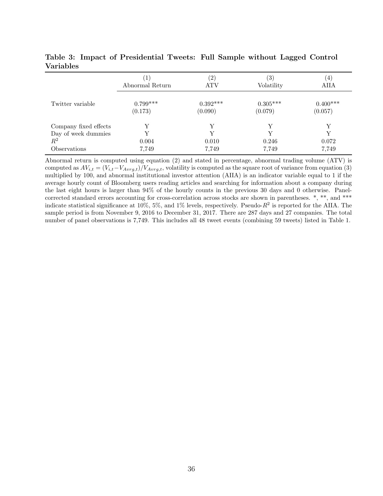|                       | Abnormal Return       | (2)<br>ATV            | $\left( 3\right)$<br>Volatility | (4)<br>AIIA           |
|-----------------------|-----------------------|-----------------------|---------------------------------|-----------------------|
| Twitter variable      | $0.799***$<br>(0.173) | $0.392***$<br>(0.090) | $0.305***$<br>(0.079)           | $0.400***$<br>(0.057) |
| Company fixed effects | V                     | Y                     | V                               |                       |
| Day of week dummies   | Y                     | Y                     | v                               |                       |
| $\mathbb{R}^2$        | 0.004                 | 0.010                 | 0.246                           | 0.072                 |
| Observations          | 7,749                 | 7,749                 | 7,749                           | 7,749                 |

Table 3: Impact of Presidential Tweets: Full Sample without Lagged Control Variables

Abnormal return is computed using equation (2) and stated in percentage, abnormal trading volume (ATV) is computed as  $AV_{i,t} = (V_{i,t} - V_{Avrg,t})/V_{Avrg,t}$ , volatility is computed as the square root of variance from equation (3) multiplied by 100, and abnormal institutional investor attention (AIIA) is an indicator variable equal to 1 if the average hourly count of Bloomberg users reading articles and searching for information about a company during the last eight hours is larger than 94% of the hourly counts in the previous 30 days and 0 otherwise. Panelcorrected standard errors accounting for cross-correlation across stocks are shown in parentheses. \*, \*\*, and \*\*\* indicate statistical significance at 10%, 5%, and 1% levels, respectively. Pseudo- $R^2$  is reported for the AIIA. The sample period is from November 9, 2016 to December 31, 2017. There are 287 days and 27 companies. The total number of panel observations is 7,749. This includes all 48 tweet events (combining 59 tweets) listed in Table 1.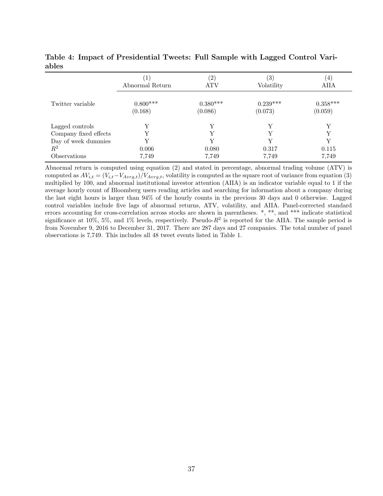|                       | $\mathbf{1}$<br>Abnormal Return | (2)<br>ATV            | $\left( 3\right)$<br>Volatility | $\mathbf{4}$<br>AIIA  |
|-----------------------|---------------------------------|-----------------------|---------------------------------|-----------------------|
| Twitter variable      | $0.800***$<br>(0.168)           | $0.380***$<br>(0.086) | $0.239***$<br>(0.073)           | $0.358***$<br>(0.059) |
| Lagged controls       |                                 | Y                     | V                               | V                     |
| Company fixed effects |                                 | Y                     |                                 |                       |
| Day of week dummies   | v                               | Y                     | $\mathbf{v}$                    | v                     |
| $\mathbb{R}^2$        | 0.006                           | 0.080                 | 0.317                           | 0.115                 |
| Observations          | 7,749                           | 7,749                 | 7,749                           | 7,749                 |

Table 4: Impact of Presidential Tweets: Full Sample with Lagged Control Variables

Abnormal return is computed using equation (2) and stated in percentage, abnormal trading volume (ATV) is computed as  $AV_{i,t} = (V_{i,t} - V_{Avrg,t})/V_{Avrg,t}$ , volatility is computed as the square root of variance from equation (3) multiplied by 100, and abnormal institutional investor attention (AIIA) is an indicator variable equal to 1 if the average hourly count of Bloomberg users reading articles and searching for information about a company during the last eight hours is larger than 94% of the hourly counts in the previous 30 days and 0 otherwise. Lagged control variables include five lags of abnormal returns, ATV, volatility, and AIIA. Panel-corrected standard errors accounting for cross-correlation across stocks are shown in parentheses. \*, \*\*, and \*\*\* indicate statistical significance at 10%, 5%, and 1% levels, respectively. Pseudo- $R^2$  is reported for the AIIA. The sample period is from November 9, 2016 to December 31, 2017. There are 287 days and 27 companies. The total number of panel observations is 7,749. This includes all 48 tweet events listed in Table 1.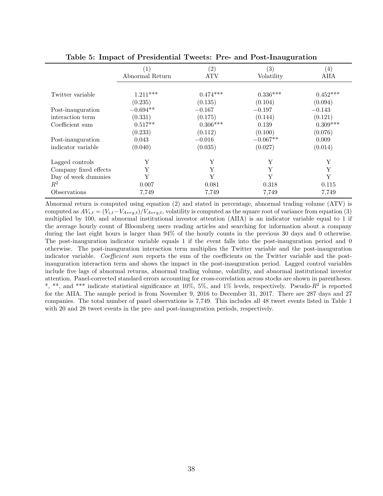|                                     | $\left  \right $<br>Abnormal Return | $\left( 2\right)$<br><b>ATV</b> | $\left( 3\right)$<br>Volatility | $\left( 4\right)$<br>AIIA |
|-------------------------------------|-------------------------------------|---------------------------------|---------------------------------|---------------------------|
| Twitter variable                    | $1.211***$<br>(0.235)               | $0.474***$<br>(0.135)           | $0.336***$<br>(0.104)           | $0.452***$<br>(0.094)     |
| Post-inauguration                   | $-0.694**$                          | $-0.167$                        | $-0.197$                        | $-0.143$                  |
| interaction term<br>Coefficient sum | (0.331)<br>$0.517**$                | (0.175)<br>$0.306***$           | (0.144)<br>0.139                | (0.121)<br>$0.309***$     |
| Post-inauguration                   | (0.233)<br>0.043                    | (0.112)<br>$-0.016$             | (0.100)<br>$-0.067**$           | (0.076)<br>0.009          |
| indicator variable                  | (0.040)                             | (0.035)                         | (0.027)                         | (0.014)                   |
| Lagged controls                     | Y                                   | Y                               | Υ                               | Υ                         |
| Company fixed effects               | Υ                                   | Υ                               | Y                               | Y                         |
| Day of week dummies                 | Y                                   | Y                               | Y                               | Y                         |
| $\,R^2$                             | 0.007                               | 0.081                           | 0.318                           | 0.115                     |
| Observations                        | 7,749                               | 7,749                           | 7,749                           | 7,749                     |

Table 5: Impact of Presidential Tweets: Pre- and Post-Inauguration

Abnormal return is computed using equation (2) and stated in percentage, abnormal trading volume (ATV) is computed as  $AV_{i,t} = (V_{i,t} - V_{Avrg,t})/V_{Avrg,t}$ , volatility is computed as the square root of variance from equation (3) multiplied by 100, and abnormal institutional investor attention (AIIA) is an indicator variable equal to 1 if the average hourly count of Bloomberg users reading articles and searching for information about a company during the last eight hours is larger than 94% of the hourly counts in the previous 30 days and 0 otherwise. The post-inauguration indicator variable equals 1 if the event falls into the post-inauguration period and 0 otherwise. The post-inauguration interaction term multiplies the Twitter variable and the post-inauguration indicator variable. Coefficient sum reports the sum of the coefficients on the Twitter variable and the postinauguration interaction term and shows the impact in the post-inauguration period. Lagged control variables include five lags of abnormal returns, abnormal trading volume, volatility, and abnormal institutional investor attention. Panel-corrected standard errors accounting for cross-correlation across stocks are shown in parentheses. \*, \*\*, and \*\*\* indicate statistical significance at 10%, 5%, and 1% levels, respectively. Pseudo- $R^2$  is reported for the AIIA. The sample period is from November 9, 2016 to December 31, 2017. There are 287 days and 27 companies. The total number of panel observations is 7,749. This includes all 48 tweet events listed in Table 1 with 20 and 28 tweet events in the pre- and post-inauguration periods, respectively.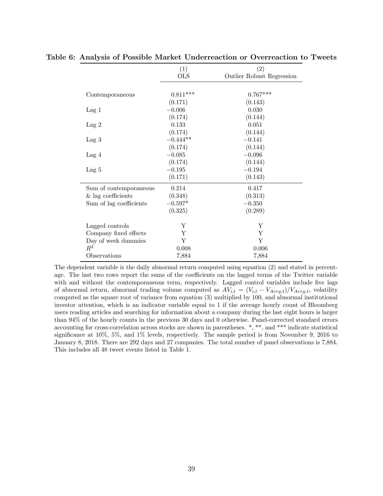|                         | (1)              | (2)                       |
|-------------------------|------------------|---------------------------|
|                         | <b>OLS</b>       | Outlier Robust Regression |
|                         | $0.811***$       | $0.767***$                |
| Contemporaneous         | (0.171)          | (0.143)                   |
|                         | $-0.006$         | 0.030                     |
| $\text{Lag}$ 1          |                  |                           |
|                         | (0.174)<br>0.133 | (0.144)<br>0.051          |
| $\text{Lag} 2$          | (0.174)          |                           |
|                         | $-0.444**$       | (0.144)<br>$-0.141$       |
| $\text{Lag}~3$          | (0.174)          | (0.144)                   |
|                         | $-0.085$         | $-0.096$                  |
| $\text{Lag}$ 4          | (0.174)          | (0.144)                   |
|                         | $-0.195$         | $-0.194$                  |
| $\text{Lag} 5$          | (0.171)          |                           |
|                         |                  | (0.143)                   |
| Sum of contemporaneous  | 0.214            | 0.417                     |
| $&$ lag coefficients    | (0.348)          | (0.313)                   |
| Sum of lag coefficients | $-0.597*$        | $-0.350$                  |
|                         | (0.325)          | (0.289)                   |
| Lagged controls         | Υ                | Y                         |
| Company fixed effects   | Υ                | Y                         |
| Day of week dummies     | Υ                | Y                         |
| $R^2$                   | 0.008            | 0.006                     |
| Observations            | 7,884            | 7,884                     |
|                         |                  |                           |

Table 6: Analysis of Possible Market Underreaction or Overreaction to Tweets

The dependent variable is the daily abnormal return computed using equation (2) and stated in percentage. The last two rows report the sums of the coefficients on the lagged terms of the Twitter variable with and without the contemporaneous term, respectively. Lagged control variables include five lags of abnormal return, abnormal trading volume computed as  $AV_{i,t} = (V_{i,t} - V_{Avrg,t})/V_{Avrg,t}$ , volatility computed as the square root of variance from equation (3) multiplied by 100, and abnormal institutional investor attention, which is an indicator variable equal to 1 if the average hourly count of Bloomberg users reading articles and searching for information about a company during the last eight hours is larger than 94% of the hourly counts in the previous 30 days and 0 otherwise. Panel-corrected standard errors accounting for cross-correlation across stocks are shown in parentheses. \*, \*\*, and \*\*\* indicate statistical significance at 10%, 5%, and 1% levels, respectively. The sample period is from November 9, 2016 to January 8, 2018. There are 292 days and 27 companies. The total number of panel observations is 7,884. This includes all 48 tweet events listed in Table 1.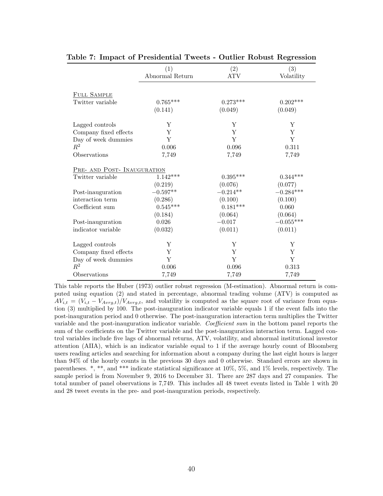|                             | (1)<br>Abnormal Return | (2)<br><b>ATV</b> | (3)<br>Volatility |
|-----------------------------|------------------------|-------------------|-------------------|
| FULL SAMPLE                 |                        |                   |                   |
| Twitter variable            | $0.765***$             | $0.273***$        | $0.202***$        |
|                             | (0.141)                | (0.049)           | (0.049)           |
| Lagged controls             | Υ                      | Υ                 | Y                 |
| Company fixed effects       | Υ                      | Y                 | Y                 |
| Day of week dummies         | Y                      | Y                 | Y                 |
| $R^2$                       | 0.006                  | 0.096             | 0.311             |
| Observations                | 7,749                  | 7,749             | 7,749             |
| PRE- AND POST- INAUGURATION |                        |                   |                   |
| Twitter variable            | $1.142***$             | $0.395***$        | $0.344***$        |
|                             | (0.219)                | (0.076)           | (0.077)           |
| Post-inauguration           | $-0.597**$             | $-0.214**$        | $-0.284***$       |
| interaction term            | (0.286)                | (0.100)           | (0.100)           |
| Coefficient sum             | $0.545***$             | $0.181***$        | 0.060             |
|                             | (0.184)                | (0.064)           | (0.064)           |
| Post-inauguration           | 0.026                  | $-0.017$          | $-0.055***$       |
| indicator variable          | (0.032)                | (0.011)           | (0.011)           |
| Lagged controls             | Υ                      | Υ                 | Y                 |
| Company fixed effects       | Υ                      | Υ                 | Y                 |
| Day of week dummies         | Υ                      | Y                 | Y                 |
| $R^2$                       | 0.006                  | 0.096             | 0.313             |
| Observations                | 7,749                  | 7,749             | 7,749             |

Table 7: Impact of Presidential Tweets - Outlier Robust Regression

This table reports the Huber (1973) outlier robust regression (M-estimation). Abnormal return is computed using equation (2) and stated in percentage, abnormal trading volume (ATV) is computed as  $AV_{i,t} = (V_{i,t} - V_{Avrg,t})/V_{Avrg,t}$ , and volatility is computed as the square root of variance from equation (3) multiplied by 100. The post-inauguration indicator variable equals 1 if the event falls into the post-inauguration period and 0 otherwise. The post-inauguration interaction term multiplies the Twitter variable and the post-inauguration indicator variable. Coefficient sum in the bottom panel reports the sum of the coefficients on the Twitter variable and the post-inauguration interaction term. Lagged control variables include five lags of abnormal returns, ATV, volatility, and abnormal institutional investor attention (AIIA), which is an indicator variable equal to 1 if the average hourly count of Bloomberg users reading articles and searching for information about a company during the last eight hours is larger than 94% of the hourly counts in the previous 30 days and 0 otherwise. Standard errors are shown in parentheses. \*, \*\*, and \*\*\* indicate statistical significance at 10%, 5%, and 1% levels, respectively. The sample period is from November 9, 2016 to December 31. There are 287 days and 27 companies. The total number of panel observations is 7,749. This includes all 48 tweet events listed in Table 1 with 20 and 28 tweet events in the pre- and post-inauguration periods, respectively.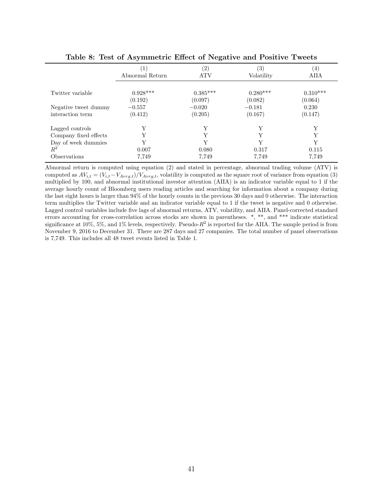|                       | $\left(1\right)$<br>Abnormal Return | $\left( 2\right)$<br>ATV | $\left( 3\right)$<br>Volatility | $\left(4\right)$<br>AIIA |
|-----------------------|-------------------------------------|--------------------------|---------------------------------|--------------------------|
|                       |                                     |                          |                                 |                          |
| Twitter variable      | $0.928***$                          | $0.385***$               | $0.280***$                      | $0.310***$               |
|                       | (0.192)                             | (0.097)                  | (0.082)                         | (0.064)                  |
| Negative tweet dummy  | $-0.557$                            | $-0.020$                 | $-0.181$                        | 0.230                    |
| interaction term      | (0.412)                             | (0.205)                  | (0.167)                         | (0.147)                  |
| Lagged controls       | Y                                   | Y                        | Y                               | v                        |
| Company fixed effects | $\mathbf{v}$                        | Y                        | v                               | $\mathbf v$              |
| Day of week dummies   | $\mathbf v$                         | Y                        | Y                               | $\rm _V$                 |
| $\mathbb{R}^2$        | 0.007                               | 0.080                    | 0.317                           | 0.115                    |
| Observations          | 7.749                               | 7.749                    | 7,749                           | 7.749                    |

Table 8: Test of Asymmetric Effect of Negative and Positive Tweets

Abnormal return is computed using equation (2) and stated in percentage, abnormal trading volume (ATV) is computed as  $AV_{i,t} = (V_{i,t} - V_{Avrg,t})/V_{Avrg,t}$ , volatility is computed as the square root of variance from equation (3) multiplied by 100, and abnormal institutional investor attention (AIIA) is an indicator variable equal to 1 if the average hourly count of Bloomberg users reading articles and searching for information about a company during the last eight hours is larger than 94% of the hourly counts in the previous 30 days and 0 otherwise. The interaction term multiplies the Twitter variable and an indicator variable equal to 1 if the tweet is negative and 0 otherwise. Lagged control variables include five lags of abnormal returns, ATV, volatility, and AIIA. Panel-corrected standard errors accounting for cross-correlation across stocks are shown in parentheses. \*, \*\*, and \*\*\* indicate statistical significance at 10%, 5%, and 1% levels, respectively. Pseudo- $R^2$  is reported for the AIIA. The sample period is from November 9, 2016 to December 31. There are 287 days and 27 companies. The total number of panel observations is 7,749. This includes all 48 tweet events listed in Table 1.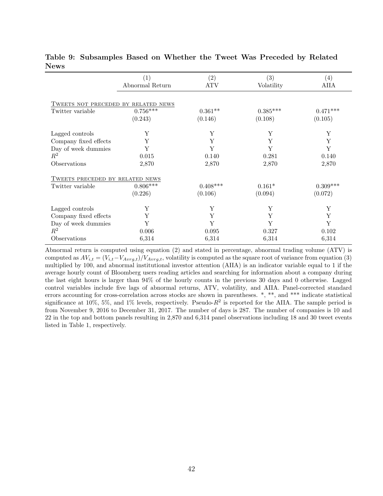|                                     | (1)<br>Abnormal Return | $\left( 2\right)$<br><b>ATV</b> | (3)<br>Volatility | $\left( 4\right)$<br>AIIA |
|-------------------------------------|------------------------|---------------------------------|-------------------|---------------------------|
| TWEETS NOT PRECEDED BY RELATED NEWS |                        |                                 |                   |                           |
| Twitter variable                    | $0.756***$             | $0.361**$                       | $0.385***$        | $0.471***$                |
|                                     | (0.243)                | (0.146)                         | (0.108)           | (0.105)                   |
| Lagged controls                     | Y                      | Y                               | Y                 | Y                         |
| Company fixed effects               | Υ                      | Υ                               | Y                 | Υ                         |
| Day of week dummies                 | Υ                      | Y                               | Y                 | Y                         |
| $R^2$                               | 0.015                  | 0.140                           | 0.281             | 0.140                     |
| Observations                        | 2,870                  | 2,870                           | 2,870             | 2,870                     |
| TWEETS PRECEDED BY RELATED NEWS     |                        |                                 |                   |                           |
| Twitter variable                    | $0.806***$             | $0.408***$                      | $0.161*$          | $0.309***$                |
|                                     | (0.226)                | (0.106)                         | (0.094)           | (0.072)                   |
| Lagged controls                     | Υ                      | Υ                               | Y                 | Y                         |
| Company fixed effects               | Y                      | Y                               | Y                 | Y                         |
| Day of week dummies                 | Υ                      | Y                               | Y                 | Y                         |
| $R^2$                               | 0.006                  | 0.095                           | 0.327             | 0.102                     |
| Observations                        | 6,314                  | 6,314                           | 6,314             | 6,314                     |

Table 9: Subsamples Based on Whether the Tweet Was Preceded by Related News

Abnormal return is computed using equation (2) and stated in percentage, abnormal trading volume (ATV) is computed as  $AV_{i,t} = (V_{i,t} - V_{Avrg,t})/V_{Avrg,t}$ , volatility is computed as the square root of variance from equation (3) multiplied by 100, and abnormal institutional investor attention (AIIA) is an indicator variable equal to 1 if the average hourly count of Bloomberg users reading articles and searching for information about a company during the last eight hours is larger than 94% of the hourly counts in the previous 30 days and 0 otherwise. Lagged control variables include five lags of abnormal returns, ATV, volatility, and AIIA. Panel-corrected standard errors accounting for cross-correlation across stocks are shown in parentheses. \*, \*\*, and \*\*\* indicate statistical significance at 10%, 5%, and 1% levels, respectively. Pseudo- $R^2$  is reported for the AIIA. The sample period is from November 9, 2016 to December 31, 2017. The number of days is 287. The number of companies is 10 and 22 in the top and bottom panels resulting in 2,870 and 6,314 panel observations including 18 and 30 tweet events listed in Table 1, respectively.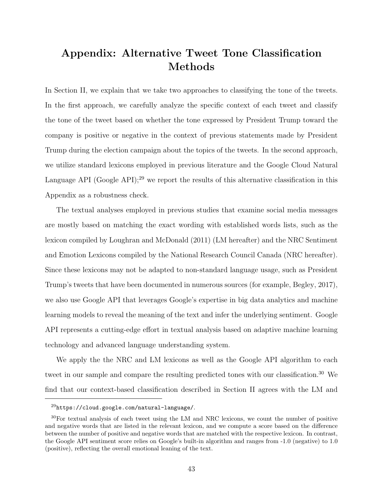# Appendix: Alternative Tweet Tone Classification Methods

In Section II, we explain that we take two approaches to classifying the tone of the tweets. In the first approach, we carefully analyze the specific context of each tweet and classify the tone of the tweet based on whether the tone expressed by President Trump toward the company is positive or negative in the context of previous statements made by President Trump during the election campaign about the topics of the tweets. In the second approach, we utilize standard lexicons employed in previous literature and the Google Cloud Natural Language API  $(Google API)$ ;<sup>29</sup> we report the results of this alternative classification in this Appendix as a robustness check.

The textual analyses employed in previous studies that examine social media messages are mostly based on matching the exact wording with established words lists, such as the lexicon compiled by Loughran and McDonald (2011) (LM hereafter) and the NRC Sentiment and Emotion Lexicons compiled by the National Research Council Canada (NRC hereafter). Since these lexicons may not be adapted to non-standard language usage, such as President Trump's tweets that have been documented in numerous sources (for example, Begley, 2017), we also use Google API that leverages Google's expertise in big data analytics and machine learning models to reveal the meaning of the text and infer the underlying sentiment. Google API represents a cutting-edge effort in textual analysis based on adaptive machine learning technology and advanced language understanding system.

We apply the the NRC and LM lexicons as well as the Google API algorithm to each tweet in our sample and compare the resulting predicted tones with our classification.<sup>30</sup> We find that our context-based classification described in Section II agrees with the LM and

<sup>29</sup>https://cloud.google.com/natural-language/.

<sup>30</sup>For textual analysis of each tweet using the LM and NRC lexicons, we count the number of positive and negative words that are listed in the relevant lexicon, and we compute a score based on the difference between the number of positive and negative words that are matched with the respective lexicon. In contrast, the Google API sentiment score relies on Google's built-in algorithm and ranges from -1.0 (negative) to 1.0 (positive), reflecting the overall emotional leaning of the text.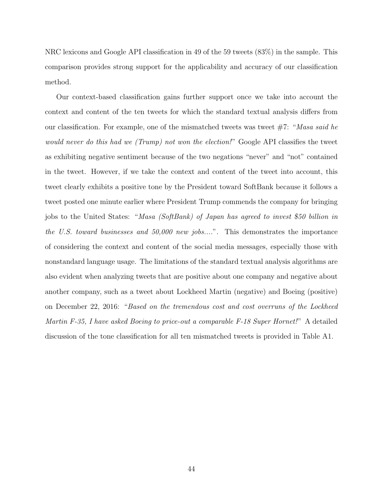NRC lexicons and Google API classification in 49 of the 59 tweets (83%) in the sample. This comparison provides strong support for the applicability and accuracy of our classification method.

Our context-based classification gains further support once we take into account the context and content of the ten tweets for which the standard textual analysis differs from our classification. For example, one of the mismatched tweets was tweet  $#7:$  "Masa said he would never do this had we (Trump) not won the election!" Google API classifies the tweet as exhibiting negative sentiment because of the two negations "never" and "not" contained in the tweet. However, if we take the context and content of the tweet into account, this tweet clearly exhibits a positive tone by the President toward SoftBank because it follows a tweet posted one minute earlier where President Trump commends the company for bringing jobs to the United States: "Masa (SoftBank) of Japan has agreed to invest \$50 billion in the U.S. toward businesses and 50,000 new jobs....". This demonstrates the importance of considering the context and content of the social media messages, especially those with nonstandard language usage. The limitations of the standard textual analysis algorithms are also evident when analyzing tweets that are positive about one company and negative about another company, such as a tweet about Lockheed Martin (negative) and Boeing (positive) on December 22, 2016: "Based on the tremendous cost and cost overruns of the Lockheed Martin F-35, I have asked Boeing to price-out a comparable F-18 Super Hornet!" A detailed discussion of the tone classification for all ten mismatched tweets is provided in Table A1.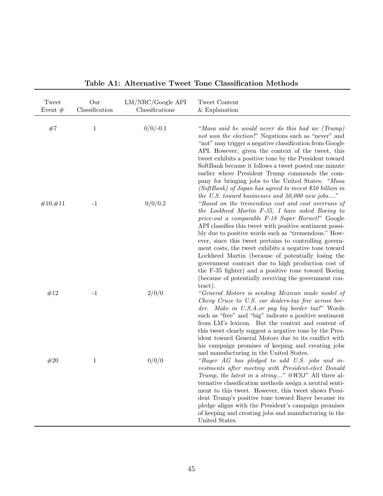| Tweet<br>Event $#$ | Our<br>Classification | LM/NRC/Google API<br>Classifications | Tweet Content<br>$&$ Explanation                                                                                                                                                                                                                                                                                                                                                                                                                                                                                                                                                                                                          |
|--------------------|-----------------------|--------------------------------------|-------------------------------------------------------------------------------------------------------------------------------------------------------------------------------------------------------------------------------------------------------------------------------------------------------------------------------------------------------------------------------------------------------------------------------------------------------------------------------------------------------------------------------------------------------------------------------------------------------------------------------------------|
| #7                 | $\mathbf{1}$          | $0/0/-0.1$                           | "Masa said he would never do this had we (Trump)<br>not won the election!" Negations such as "never" and<br>"not" may trigger a negative classification from Google<br>API. However, given the context of the tweet, this<br>tweet exhibits a positive tone by the President toward<br>SoftBank because it follows a tweet posted one minute<br>earlier where President Trump commends the com-<br>pany for bringing jobs to the United States: "Masa<br>$(SoftBank)$ of Japan has agreed to invest \$50 billion in<br>the U.S. toward businesses and $50,000$ new jobs"                                                                  |
| #10, #11           | $-1$                  | 0/0/0.2                              | "Based on the tremendous cost and cost overruns of<br>the Lockheed Martin F-35, I have asked Boeing to<br>price-out a comparable F-18 Super Hornet!" Google<br>API classifies this tweet with positive sentiment possi-<br>bly due to positive words such as "tremendous." How-<br>ever, since this tweet pertains to controlling govern-<br>ment costs, the tweet exhibits a negative tone toward<br>Lockheed Martin (because of potentially losing the<br>government contract due to high production cost of<br>the F-35 fighter) and a positive tone toward Boeing<br>(because of potentially receiving the government con-<br>tract). |
| #12                | $-1$                  | 2/0/0                                | "General Motors is sending Mexican made model of<br>Chevy Cruze to U.S. car dealers-tax free across bor-<br>der. Make in U.S.A.or pay big border tax!" Words<br>such as "free" and "big" indicate a positive sentiment<br>from LM's lexicon. But the context and content of<br>this tweet clearly suggest a negative tone by the Pres-<br>ident toward General Motors due to its conflict with<br>his campaign promises of keeping and creating jobs<br>and manufacturing in the United States.                                                                                                                                           |
| #20                | $\mathbf{1}$          | 0/0/0                                | "Bayer AG has pledged to add U.S. jobs and in-<br>vestments after meeting with President-elect Donald<br>Trump, the latest in a string" $@WSJ"$ All three al-<br>ternative classification methods assign a neutral senti-<br>ment to this tweet. However, this tweet shows Presi-<br>dent Trump's positive tone toward Bayer because its<br>pledge aligns with the President's campaign promises<br>of keeping and creating jobs and manufacturing in the<br>United States.                                                                                                                                                               |

Table A1: Alternative Tweet Tone Classification Methods